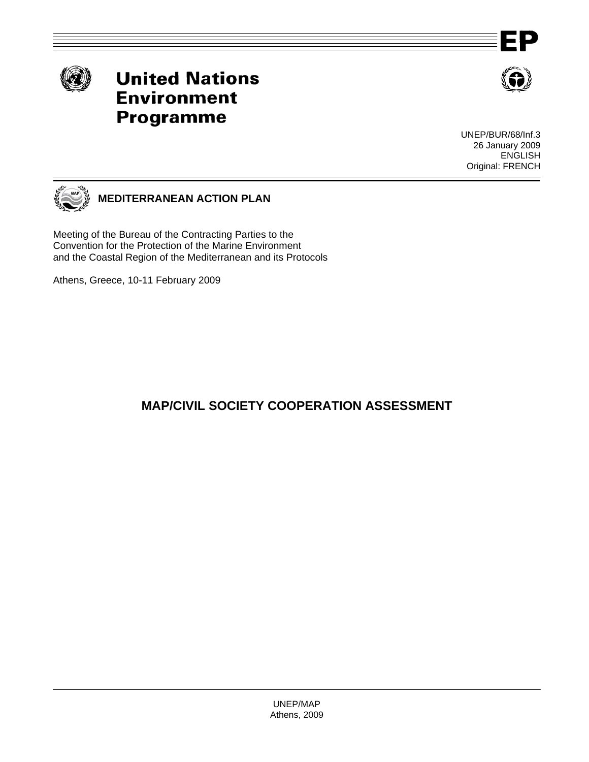

# **United Nations Environment Programme**



UNEP/BUR/68/Inf.3 26 January 2009 ENGLISH Original: FRENCH



Meeting of the Bureau of the Contracting Parties to the Convention for the Protection of the Marine Environment and the Coastal Region of the Mediterranean and its Protocols

Athens, Greece, 10-11 February 2009

# **MAP/CIVIL SOCIETY COOPERATION ASSESSMENT**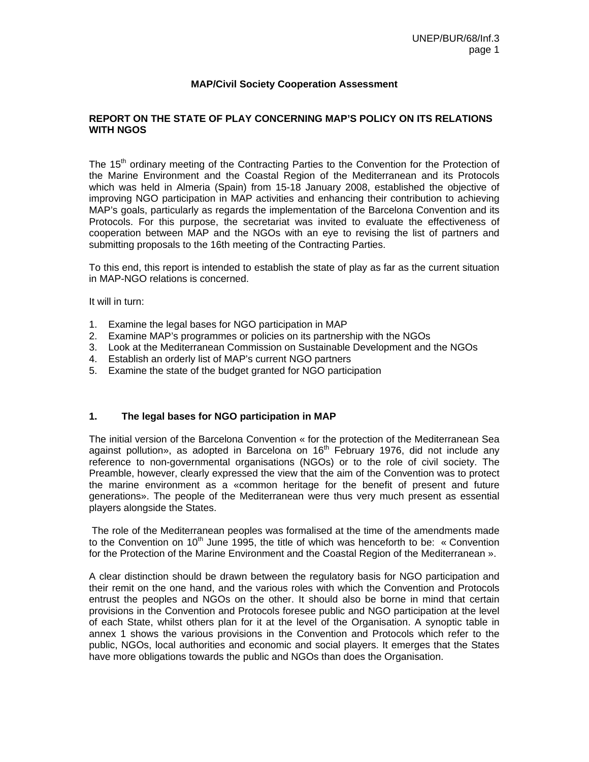#### **MAP/Civil Society Cooperation Assessment**

# **REPORT ON THE STATE OF PLAY CONCERNING MAP'S POLICY ON ITS RELATIONS WITH NGOS**

The 15<sup>th</sup> ordinary meeting of the Contracting Parties to the Convention for the Protection of the Marine Environment and the Coastal Region of the Mediterranean and its Protocols which was held in Almeria (Spain) from 15-18 January 2008, established the objective of improving NGO participation in MAP activities and enhancing their contribution to achieving MAP's goals, particularly as regards the implementation of the Barcelona Convention and its Protocols. For this purpose, the secretariat was invited to evaluate the effectiveness of cooperation between MAP and the NGOs with an eye to revising the list of partners and submitting proposals to the 16th meeting of the Contracting Parties.

To this end, this report is intended to establish the state of play as far as the current situation in MAP-NGO relations is concerned.

It will in turn:

- 1. Examine the legal bases for NGO participation in MAP
- 2. Examine MAP's programmes or policies on its partnership with the NGOs
- 3. Look at the Mediterranean Commission on Sustainable Development and the NGOs
- 4. Establish an orderly list of MAP's current NGO partners
- 5. Examine the state of the budget granted for NGO participation

# **1. The legal bases for NGO participation in MAP**

The initial version of the Barcelona Convention « for the protection of the Mediterranean Sea against pollution», as adopted in Barcelona on  $16<sup>th</sup>$  February 1976, did not include any reference to non-governmental organisations (NGOs) or to the role of civil society. The Preamble, however, clearly expressed the view that the aim of the Convention was to protect the marine environment as a «common heritage for the benefit of present and future generations». The people of the Mediterranean were thus very much present as essential players alongside the States.

 The role of the Mediterranean peoples was formalised at the time of the amendments made to the Convention on 10<sup>th</sup> June 1995, the title of which was henceforth to be: « Convention for the Protection of the Marine Environment and the Coastal Region of the Mediterranean ».

A clear distinction should be drawn between the regulatory basis for NGO participation and their remit on the one hand, and the various roles with which the Convention and Protocols entrust the peoples and NGOs on the other. It should also be borne in mind that certain provisions in the Convention and Protocols foresee public and NGO participation at the level of each State, whilst others plan for it at the level of the Organisation. A synoptic table in annex 1 shows the various provisions in the Convention and Protocols which refer to the public, NGOs, local authorities and economic and social players. It emerges that the States have more obligations towards the public and NGOs than does the Organisation.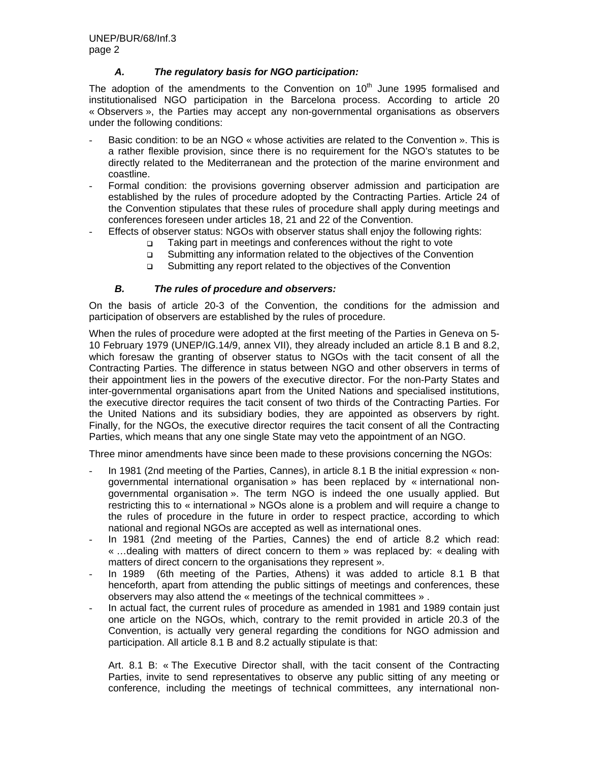# *A. The regulatory basis for NGO participation:*

The adoption of the amendments to the Convention on  $10<sup>th</sup>$  June 1995 formalised and institutionalised NGO participation in the Barcelona process. According to article 20 « Observers », the Parties may accept any non-governmental organisations as observers under the following conditions:

- Basic condition: to be an NGO « whose activities are related to the Convention ». This is a rather flexible provision, since there is no requirement for the NGO's statutes to be directly related to the Mediterranean and the protection of the marine environment and coastline.
- Formal condition: the provisions governing observer admission and participation are established by the rules of procedure adopted by the Contracting Parties. Article 24 of the Convention stipulates that these rules of procedure shall apply during meetings and conferences foreseen under articles 18, 21 and 22 of the Convention.
- Effects of observer status: NGOs with observer status shall enjoy the following rights:
	- □ Taking part in meetings and conferences without the right to vote
	- Submitting any information related to the objectives of the Convention
	- □ Submitting any report related to the objectives of the Convention

# *B. The rules of procedure and observers:*

On the basis of article 20-3 of the Convention, the conditions for the admission and participation of observers are established by the rules of procedure.

When the rules of procedure were adopted at the first meeting of the Parties in Geneva on 5- 10 February 1979 (UNEP/IG.14/9, annex VII), they already included an article 8.1 B and 8.2, which foresaw the granting of observer status to NGOs with the tacit consent of all the Contracting Parties. The difference in status between NGO and other observers in terms of their appointment lies in the powers of the executive director. For the non-Party States and inter-governmental organisations apart from the United Nations and specialised institutions, the executive director requires the tacit consent of two thirds of the Contracting Parties. For the United Nations and its subsidiary bodies, they are appointed as observers by right. Finally, for the NGOs, the executive director requires the tacit consent of all the Contracting Parties, which means that any one single State may veto the appointment of an NGO.

Three minor amendments have since been made to these provisions concerning the NGOs:

- In 1981 (2nd meeting of the Parties, Cannes), in article 8.1 B the initial expression « nongovernmental international organisation » has been replaced by « international nongovernmental organisation ». The term NGO is indeed the one usually applied. But restricting this to « international » NGOs alone is a problem and will require a change to the rules of procedure in the future in order to respect practice, according to which national and regional NGOs are accepted as well as international ones.
- In 1981 (2nd meeting of the Parties, Cannes) the end of article 8.2 which read: « …dealing with matters of direct concern to them » was replaced by: « dealing with matters of direct concern to the organisations they represent ».
- In 1989 (6th meeting of the Parties, Athens) it was added to article 8.1 B that henceforth, apart from attending the public sittings of meetings and conferences, these observers may also attend the « meetings of the technical committees » .
- In actual fact, the current rules of procedure as amended in 1981 and 1989 contain just one article on the NGOs, which, contrary to the remit provided in article 20.3 of the Convention, is actually very general regarding the conditions for NGO admission and participation. All article 8.1 B and 8.2 actually stipulate is that:

Art. 8.1 B: « The Executive Director shall, with the tacit consent of the Contracting Parties, invite to send representatives to observe any public sitting of any meeting or conference, including the meetings of technical committees, any international non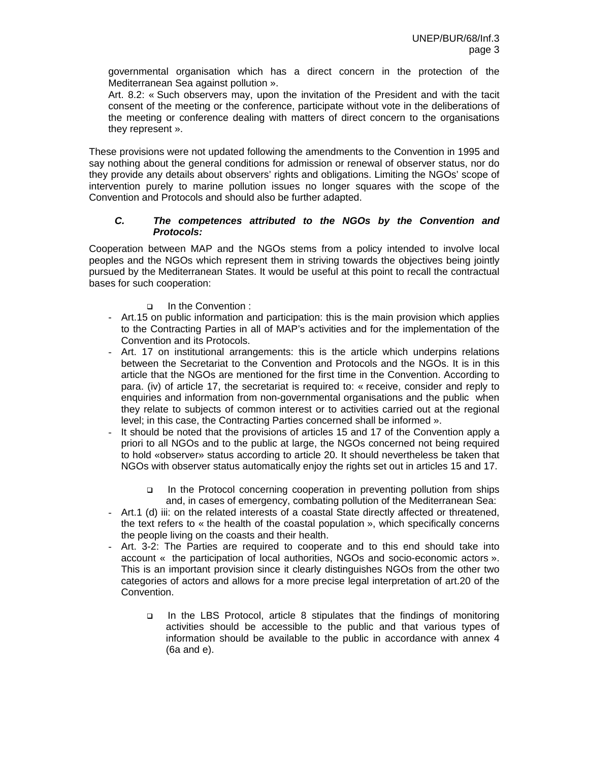governmental organisation which has a direct concern in the protection of the Mediterranean Sea against pollution ».

Art. 8.2: « Such observers may, upon the invitation of the President and with the tacit consent of the meeting or the conference, participate without vote in the deliberations of the meeting or conference dealing with matters of direct concern to the organisations they represent ».

These provisions were not updated following the amendments to the Convention in 1995 and say nothing about the general conditions for admission or renewal of observer status, nor do they provide any details about observers' rights and obligations. Limiting the NGOs' scope of intervention purely to marine pollution issues no longer squares with the scope of the Convention and Protocols and should also be further adapted.

# *C. The competences attributed to the NGOs by the Convention and Protocols:*

Cooperation between MAP and the NGOs stems from a policy intended to involve local peoples and the NGOs which represent them in striving towards the objectives being jointly pursued by the Mediterranean States. It would be useful at this point to recall the contractual bases for such cooperation:

- In the Convention :
- Art.15 on public information and participation: this is the main provision which applies to the Contracting Parties in all of MAP's activities and for the implementation of the Convention and its Protocols.
- Art. 17 on institutional arrangements: this is the article which underpins relations between the Secretariat to the Convention and Protocols and the NGOs. It is in this article that the NGOs are mentioned for the first time in the Convention. According to para. (iv) of article 17, the secretariat is required to: « receive, consider and reply to enquiries and information from non-governmental organisations and the public when they relate to subjects of common interest or to activities carried out at the regional level; in this case, the Contracting Parties concerned shall be informed ».
- It should be noted that the provisions of articles 15 and 17 of the Convention apply a priori to all NGOs and to the public at large, the NGOs concerned not being required to hold «observer» status according to article 20. It should nevertheless be taken that NGOs with observer status automatically enjoy the rights set out in articles 15 and 17.
	- In the Protocol concerning cooperation in preventing pollution from ships and, in cases of emergency, combating pollution of the Mediterranean Sea:
- Art.1 (d) iii: on the related interests of a coastal State directly affected or threatened, the text refers to « the health of the coastal population », which specifically concerns the people living on the coasts and their health.
- Art. 3-2: The Parties are required to cooperate and to this end should take into account « the participation of local authorities, NGOs and socio-economic actors ». This is an important provision since it clearly distinguishes NGOs from the other two categories of actors and allows for a more precise legal interpretation of art.20 of the Convention.
	- □ In the LBS Protocol, article 8 stipulates that the findings of monitoring activities should be accessible to the public and that various types of information should be available to the public in accordance with annex 4 (6a and e).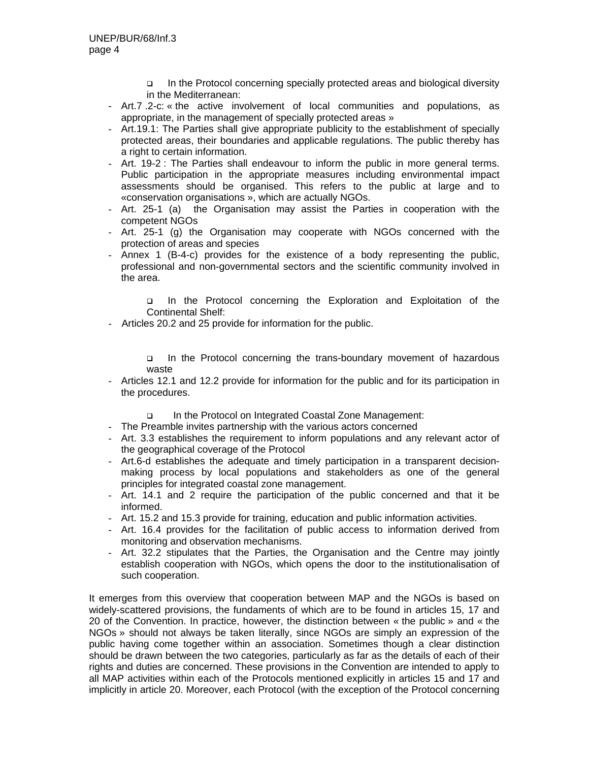- In the Protocol concerning specially protected areas and biological diversity in the Mediterranean:
- Art.7 .2-c: « the active involvement of local communities and populations, as appropriate, in the management of specially protected areas »
- Art.19.1: The Parties shall give appropriate publicity to the establishment of specially protected areas, their boundaries and applicable regulations. The public thereby has a right to certain information.
- Art. 19-2 : The Parties shall endeavour to inform the public in more general terms. Public participation in the appropriate measures including environmental impact assessments should be organised. This refers to the public at large and to «conservation organisations », which are actually NGOs.
- Art. 25-1 (a) the Organisation may assist the Parties in cooperation with the competent NGOs
- Art. 25-1 (g) the Organisation may cooperate with NGOs concerned with the protection of areas and species
- Annex 1 (B-4-c) provides for the existence of a body representing the public, professional and non-governmental sectors and the scientific community involved in the area.

 In the Protocol concerning the Exploration and Exploitation of the Continental Shelf:

- Articles 20.2 and 25 provide for information for the public.

 In the Protocol concerning the trans-boundary movement of hazardous waste

- Articles 12.1 and 12.2 provide for information for the public and for its participation in the procedures.

In the Protocol on Integrated Coastal Zone Management:

- The Preamble invites partnership with the various actors concerned
- Art. 3.3 establishes the requirement to inform populations and any relevant actor of the geographical coverage of the Protocol
- Art.6-d establishes the adequate and timely participation in a transparent decisionmaking process by local populations and stakeholders as one of the general principles for integrated coastal zone management.
- Art. 14.1 and 2 require the participation of the public concerned and that it be informed.
- Art. 15.2 and 15.3 provide for training, education and public information activities.
- Art. 16.4 provides for the facilitation of public access to information derived from monitoring and observation mechanisms.
- Art. 32.2 stipulates that the Parties, the Organisation and the Centre may jointly establish cooperation with NGOs, which opens the door to the institutionalisation of such cooperation.

It emerges from this overview that cooperation between MAP and the NGOs is based on widely-scattered provisions, the fundaments of which are to be found in articles 15, 17 and 20 of the Convention. In practice, however, the distinction between « the public » and « the NGOs » should not always be taken literally, since NGOs are simply an expression of the public having come together within an association. Sometimes though a clear distinction should be drawn between the two categories, particularly as far as the details of each of their rights and duties are concerned. These provisions in the Convention are intended to apply to all MAP activities within each of the Protocols mentioned explicitly in articles 15 and 17 and implicitly in article 20. Moreover, each Protocol (with the exception of the Protocol concerning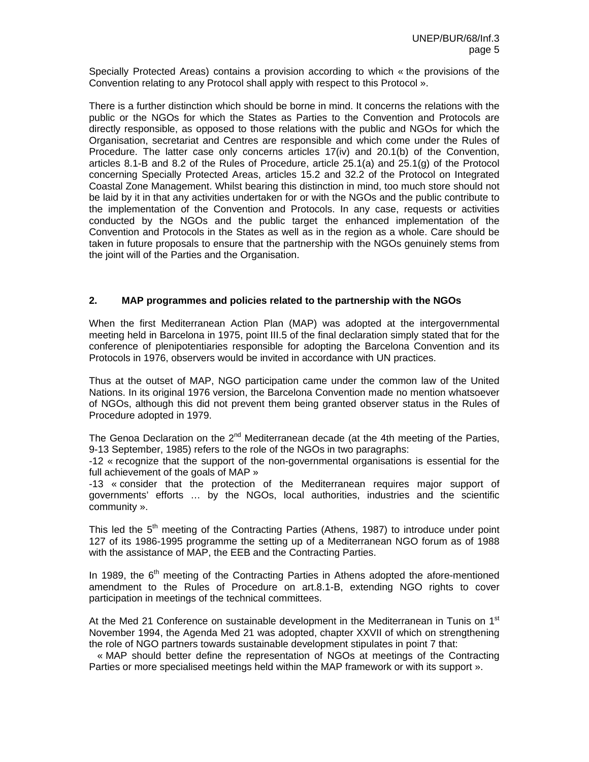Specially Protected Areas) contains a provision according to which « the provisions of the Convention relating to any Protocol shall apply with respect to this Protocol ».

There is a further distinction which should be borne in mind. It concerns the relations with the public or the NGOs for which the States as Parties to the Convention and Protocols are directly responsible, as opposed to those relations with the public and NGOs for which the Organisation, secretariat and Centres are responsible and which come under the Rules of Procedure. The latter case only concerns articles 17(iv) and 20.1(b) of the Convention, articles 8.1-B and 8.2 of the Rules of Procedure, article 25.1(a) and 25.1(g) of the Protocol concerning Specially Protected Areas, articles 15.2 and 32.2 of the Protocol on Integrated Coastal Zone Management. Whilst bearing this distinction in mind, too much store should not be laid by it in that any activities undertaken for or with the NGOs and the public contribute to the implementation of the Convention and Protocols. In any case, requests or activities conducted by the NGOs and the public target the enhanced implementation of the Convention and Protocols in the States as well as in the region as a whole. Care should be taken in future proposals to ensure that the partnership with the NGOs genuinely stems from the joint will of the Parties and the Organisation.

# **2. MAP programmes and policies related to the partnership with the NGOs**

When the first Mediterranean Action Plan (MAP) was adopted at the intergovernmental meeting held in Barcelona in 1975, point III.5 of the final declaration simply stated that for the conference of plenipotentiaries responsible for adopting the Barcelona Convention and its Protocols in 1976, observers would be invited in accordance with UN practices.

Thus at the outset of MAP, NGO participation came under the common law of the United Nations. In its original 1976 version, the Barcelona Convention made no mention whatsoever of NGOs, although this did not prevent them being granted observer status in the Rules of Procedure adopted in 1979.

The Genoa Declaration on the  $2<sup>nd</sup>$  Mediterranean decade (at the 4th meeting of the Parties, 9-13 September, 1985) refers to the role of the NGOs in two paragraphs:

-12 « recognize that the support of the non-governmental organisations is essential for the full achievement of the goals of MAP »

-13 « consider that the protection of the Mediterranean requires major support of governments' efforts … by the NGOs, local authorities, industries and the scientific community ».

This led the  $5<sup>th</sup>$  meeting of the Contracting Parties (Athens, 1987) to introduce under point 127 of its 1986-1995 programme the setting up of a Mediterranean NGO forum as of 1988 with the assistance of MAP, the EEB and the Contracting Parties.

In 1989, the  $6<sup>th</sup>$  meeting of the Contracting Parties in Athens adopted the afore-mentioned amendment to the Rules of Procedure on art.8.1-B, extending NGO rights to cover participation in meetings of the technical committees.

At the Med 21 Conference on sustainable development in the Mediterranean in Tunis on 1<sup>st</sup> November 1994, the Agenda Med 21 was adopted, chapter XXVII of which on strengthening the role of NGO partners towards sustainable development stipulates in point 7 that:

 « MAP should better define the representation of NGOs at meetings of the Contracting Parties or more specialised meetings held within the MAP framework or with its support ».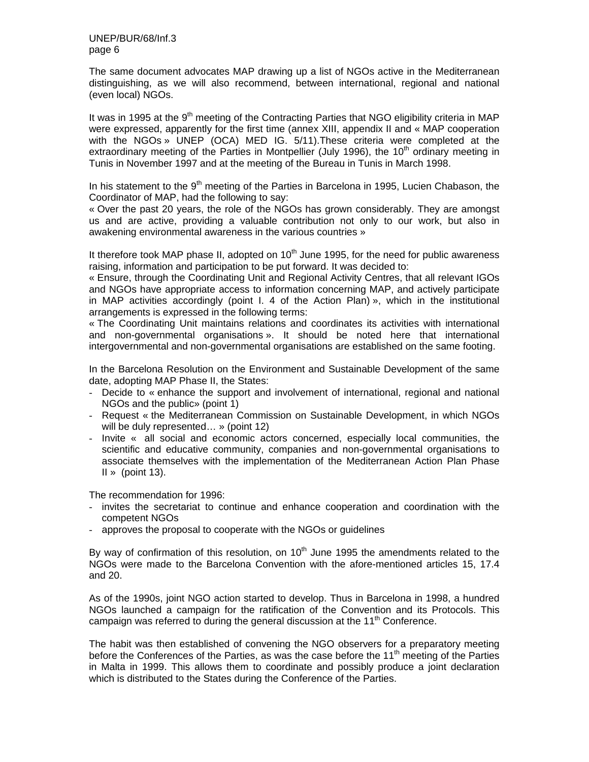The same document advocates MAP drawing up a list of NGOs active in the Mediterranean distinguishing, as we will also recommend, between international, regional and national (even local) NGOs.

It was in 1995 at the 9<sup>th</sup> meeting of the Contracting Parties that NGO eligibility criteria in MAP were expressed, apparently for the first time (annex XIII, appendix II and « MAP cooperation with the NGOs » UNEP (OCA) MED IG. 5/11).These criteria were completed at the extraordinary meeting of the Parties in Montpellier (July 1996), the 10<sup>th</sup> ordinary meeting in Tunis in November 1997 and at the meeting of the Bureau in Tunis in March 1998.

In his statement to the 9<sup>th</sup> meeting of the Parties in Barcelona in 1995, Lucien Chabason, the Coordinator of MAP, had the following to say:

« Over the past 20 years, the role of the NGOs has grown considerably. They are amongst us and are active, providing a valuable contribution not only to our work, but also in awakening environmental awareness in the various countries »

It therefore took MAP phase II, adopted on  $10<sup>th</sup>$  June 1995, for the need for public awareness raising, information and participation to be put forward. It was decided to:

« Ensure, through the Coordinating Unit and Regional Activity Centres, that all relevant IGOs and NGOs have appropriate access to information concerning MAP, and actively participate in MAP activities accordingly (point I. 4 of the Action Plan) », which in the institutional arrangements is expressed in the following terms:

« The Coordinating Unit maintains relations and coordinates its activities with international and non-governmental organisations ». It should be noted here that international intergovernmental and non-governmental organisations are established on the same footing.

In the Barcelona Resolution on the Environment and Sustainable Development of the same date, adopting MAP Phase II, the States:

- Decide to « enhance the support and involvement of international, regional and national NGOs and the public» (point 1)
- Request « the Mediterranean Commission on Sustainable Development, in which NGOs will be duly represented… » (point 12)
- Invite « all social and economic actors concerned, especially local communities, the scientific and educative community, companies and non-governmental organisations to associate themselves with the implementation of the Mediterranean Action Plan Phase  $II \times$  (point 13).

The recommendation for 1996:

- invites the secretariat to continue and enhance cooperation and coordination with the competent NGOs
- approves the proposal to cooperate with the NGOs or guidelines

By way of confirmation of this resolution, on  $10<sup>th</sup>$  June 1995 the amendments related to the NGOs were made to the Barcelona Convention with the afore-mentioned articles 15, 17.4 and 20.

As of the 1990s, joint NGO action started to develop. Thus in Barcelona in 1998, a hundred NGOs launched a campaign for the ratification of the Convention and its Protocols. This campaign was referred to during the general discussion at the 11<sup>th</sup> Conference.

The habit was then established of convening the NGO observers for a preparatory meeting before the Conferences of the Parties, as was the case before the 11<sup>th</sup> meeting of the Parties in Malta in 1999. This allows them to coordinate and possibly produce a joint declaration which is distributed to the States during the Conference of the Parties.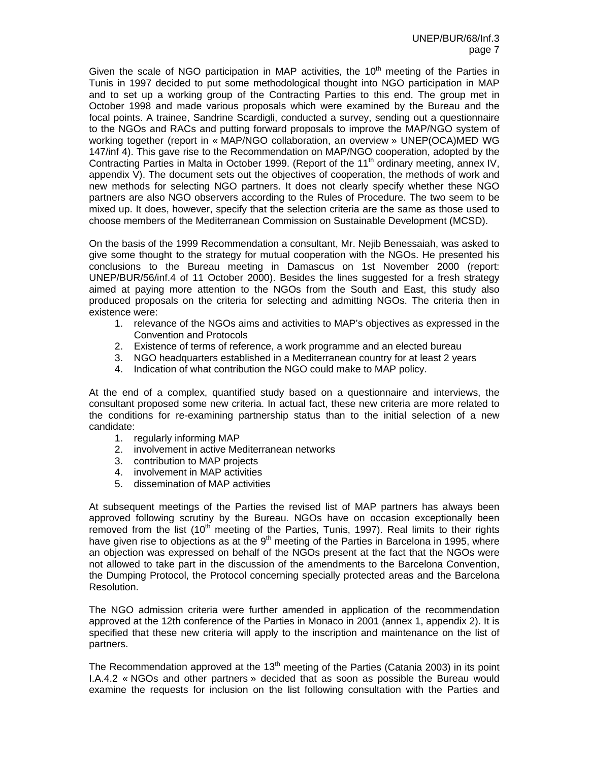Given the scale of NGO participation in MAP activities, the  $10<sup>th</sup>$  meeting of the Parties in Tunis in 1997 decided to put some methodological thought into NGO participation in MAP and to set up a working group of the Contracting Parties to this end. The group met in October 1998 and made various proposals which were examined by the Bureau and the focal points. A trainee, Sandrine Scardigli, conducted a survey, sending out a questionnaire to the NGOs and RACs and putting forward proposals to improve the MAP/NGO system of working together (report in « MAP/NGO collaboration, an overview » UNEP(OCA)MED WG 147/inf 4). This gave rise to the Recommendation on MAP/NGO cooperation, adopted by the Contracting Parties in Malta in October 1999. (Report of the 11<sup>th</sup> ordinary meeting, annex IV, appendix V). The document sets out the objectives of cooperation, the methods of work and new methods for selecting NGO partners. It does not clearly specify whether these NGO partners are also NGO observers according to the Rules of Procedure. The two seem to be mixed up. It does, however, specify that the selection criteria are the same as those used to choose members of the Mediterranean Commission on Sustainable Development (MCSD).

On the basis of the 1999 Recommendation a consultant, Mr. Nejib Benessaiah, was asked to give some thought to the strategy for mutual cooperation with the NGOs. He presented his conclusions to the Bureau meeting in Damascus on 1st November 2000 (report: UNEP/BUR/56/inf.4 of 11 October 2000). Besides the lines suggested for a fresh strategy aimed at paying more attention to the NGOs from the South and East, this study also produced proposals on the criteria for selecting and admitting NGOs. The criteria then in existence were:

- 1. relevance of the NGOs aims and activities to MAP's objectives as expressed in the Convention and Protocols
- 2. Existence of terms of reference, a work programme and an elected bureau
- 3. NGO headquarters established in a Mediterranean country for at least 2 years
- 4. Indication of what contribution the NGO could make to MAP policy.

At the end of a complex, quantified study based on a questionnaire and interviews, the consultant proposed some new criteria. In actual fact, these new criteria are more related to the conditions for re-examining partnership status than to the initial selection of a new candidate:

- 1. regularly informing MAP
- 2. involvement in active Mediterranean networks
- 3. contribution to MAP projects
- 4. involvement in MAP activities
- 5. dissemination of MAP activities

At subsequent meetings of the Parties the revised list of MAP partners has always been approved following scrutiny by the Bureau. NGOs have on occasion exceptionally been removed from the list (10<sup>th</sup> meeting of the Parties, Tunis, 1997). Real limits to their rights have given rise to objections as at the  $9<sup>th</sup>$  meeting of the Parties in Barcelona in 1995, where an objection was expressed on behalf of the NGOs present at the fact that the NGOs were not allowed to take part in the discussion of the amendments to the Barcelona Convention, the Dumping Protocol, the Protocol concerning specially protected areas and the Barcelona Resolution.

The NGO admission criteria were further amended in application of the recommendation approved at the 12th conference of the Parties in Monaco in 2001 (annex 1, appendix 2). It is specified that these new criteria will apply to the inscription and maintenance on the list of partners.

The Recommendation approved at the  $13<sup>th</sup>$  meeting of the Parties (Catania 2003) in its point I.A.4.2 « NGOs and other partners » decided that as soon as possible the Bureau would examine the requests for inclusion on the list following consultation with the Parties and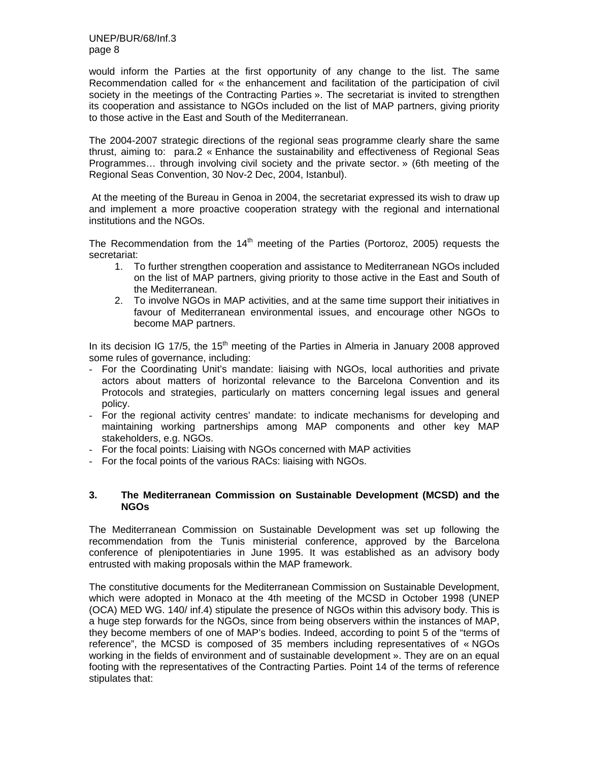would inform the Parties at the first opportunity of any change to the list. The same Recommendation called for « the enhancement and facilitation of the participation of civil society in the meetings of the Contracting Parties ». The secretariat is invited to strengthen its cooperation and assistance to NGOs included on the list of MAP partners, giving priority to those active in the East and South of the Mediterranean.

The 2004-2007 strategic directions of the regional seas programme clearly share the same thrust, aiming to: para.2 « Enhance the sustainability and effectiveness of Regional Seas Programmes… through involving civil society and the private sector. » (6th meeting of the Regional Seas Convention, 30 Nov-2 Dec, 2004, Istanbul).

 At the meeting of the Bureau in Genoa in 2004, the secretariat expressed its wish to draw up and implement a more proactive cooperation strategy with the regional and international institutions and the NGOs.

The Recommendation from the  $14<sup>th</sup>$  meeting of the Parties (Portoroz, 2005) requests the secretariat:

- 1. To further strengthen cooperation and assistance to Mediterranean NGOs included on the list of MAP partners, giving priority to those active in the East and South of the Mediterranean.
- 2. To involve NGOs in MAP activities, and at the same time support their initiatives in favour of Mediterranean environmental issues, and encourage other NGOs to become MAP partners.

In its decision IG 17/5, the  $15<sup>th</sup>$  meeting of the Parties in Almeria in January 2008 approved some rules of governance, including:

- For the Coordinating Unit's mandate: liaising with NGOs, local authorities and private actors about matters of horizontal relevance to the Barcelona Convention and its Protocols and strategies, particularly on matters concerning legal issues and general policy.
- For the regional activity centres' mandate: to indicate mechanisms for developing and maintaining working partnerships among MAP components and other key MAP stakeholders, e.g. NGOs.
- For the focal points: Liaising with NGOs concerned with MAP activities
- For the focal points of the various RACs: liaising with NGOs.

# **3. The Mediterranean Commission on Sustainable Development (MCSD) and the NGOs**

The Mediterranean Commission on Sustainable Development was set up following the recommendation from the Tunis ministerial conference, approved by the Barcelona conference of plenipotentiaries in June 1995. It was established as an advisory body entrusted with making proposals within the MAP framework.

The constitutive documents for the Mediterranean Commission on Sustainable Development, which were adopted in Monaco at the 4th meeting of the MCSD in October 1998 (UNEP (OCA) MED WG. 140/ inf.4) stipulate the presence of NGOs within this advisory body. This is a huge step forwards for the NGOs, since from being observers within the instances of MAP, they become members of one of MAP's bodies. Indeed, according to point 5 of the "terms of reference", the MCSD is composed of 35 members including representatives of « NGOs working in the fields of environment and of sustainable development ». They are on an equal footing with the representatives of the Contracting Parties. Point 14 of the terms of reference stipulates that: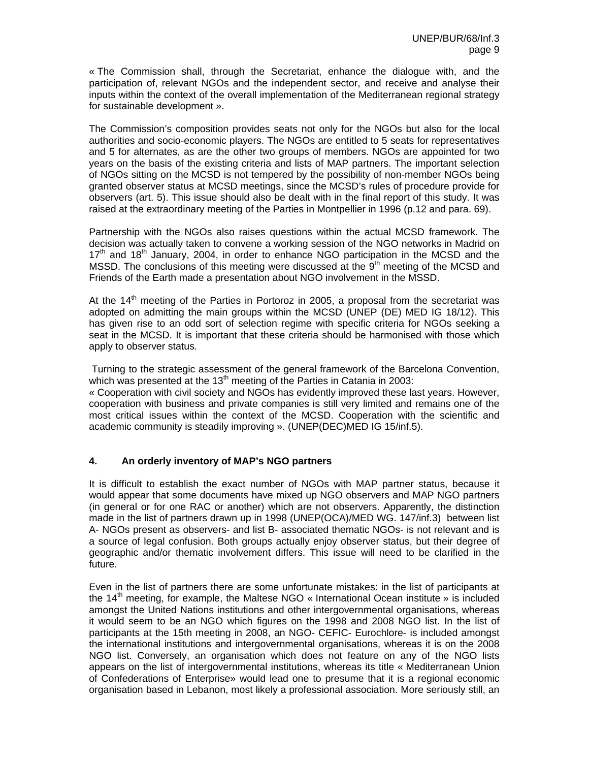« The Commission shall, through the Secretariat, enhance the dialogue with, and the participation of, relevant NGOs and the independent sector, and receive and analyse their inputs within the context of the overall implementation of the Mediterranean regional strategy for sustainable development ».

The Commission's composition provides seats not only for the NGOs but also for the local authorities and socio-economic players. The NGOs are entitled to 5 seats for representatives and 5 for alternates, as are the other two groups of members. NGOs are appointed for two years on the basis of the existing criteria and lists of MAP partners. The important selection of NGOs sitting on the MCSD is not tempered by the possibility of non-member NGOs being granted observer status at MCSD meetings, since the MCSD's rules of procedure provide for observers (art. 5). This issue should also be dealt with in the final report of this study. It was raised at the extraordinary meeting of the Parties in Montpellier in 1996 (p.12 and para. 69).

Partnership with the NGOs also raises questions within the actual MCSD framework. The decision was actually taken to convene a working session of the NGO networks in Madrid on  $17<sup>th</sup>$  and  $18<sup>th</sup>$  January, 2004, in order to enhance NGO participation in the MCSD and the MSSD. The conclusions of this meeting were discussed at the  $9<sup>th</sup>$  meeting of the MCSD and Friends of the Earth made a presentation about NGO involvement in the MSSD.

At the  $14<sup>th</sup>$  meeting of the Parties in Portoroz in 2005, a proposal from the secretariat was adopted on admitting the main groups within the MCSD (UNEP (DE) MED IG 18/12). This has given rise to an odd sort of selection regime with specific criteria for NGOs seeking a seat in the MCSD. It is important that these criteria should be harmonised with those which apply to observer status.

 Turning to the strategic assessment of the general framework of the Barcelona Convention, which was presented at the 13<sup>th</sup> meeting of the Parties in Catania in 2003:

« Cooperation with civil society and NGOs has evidently improved these last years. However, cooperation with business and private companies is still very limited and remains one of the most critical issues within the context of the MCSD. Cooperation with the scientific and academic community is steadily improving ». (UNEP(DEC)MED IG 15/inf.5).

# **4. An orderly inventory of MAP's NGO partners**

It is difficult to establish the exact number of NGOs with MAP partner status, because it would appear that some documents have mixed up NGO observers and MAP NGO partners (in general or for one RAC or another) which are not observers. Apparently, the distinction made in the list of partners drawn up in 1998 (UNEP(OCA)/MED WG. 147/inf.3) between list A- NGOs present as observers- and list B- associated thematic NGOs- is not relevant and is a source of legal confusion. Both groups actually enjoy observer status, but their degree of geographic and/or thematic involvement differs. This issue will need to be clarified in the future.

Even in the list of partners there are some unfortunate mistakes: in the list of participants at the  $14<sup>th</sup>$  meeting, for example, the Maltese NGO  $\cdot$  International Ocean institute » is included amongst the United Nations institutions and other intergovernmental organisations, whereas it would seem to be an NGO which figures on the 1998 and 2008 NGO list. In the list of participants at the 15th meeting in 2008, an NGO- CEFIC- Eurochlore- is included amongst the international institutions and intergovernmental organisations, whereas it is on the 2008 NGO list. Conversely, an organisation which does not feature on any of the NGO lists appears on the list of intergovernmental institutions, whereas its title « Mediterranean Union of Confederations of Enterprise» would lead one to presume that it is a regional economic organisation based in Lebanon, most likely a professional association. More seriously still, an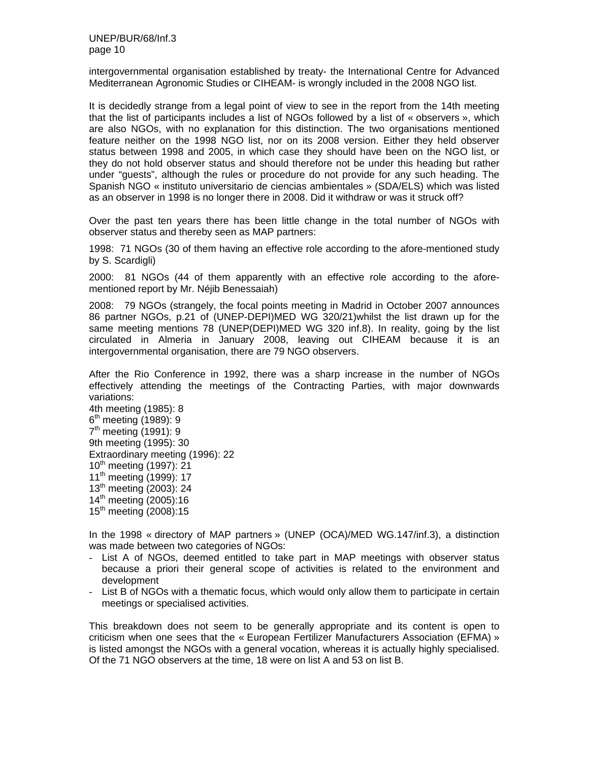intergovernmental organisation established by treaty- the International Centre for Advanced Mediterranean Agronomic Studies or CIHEAM- is wrongly included in the 2008 NGO list.

It is decidedly strange from a legal point of view to see in the report from the 14th meeting that the list of participants includes a list of NGOs followed by a list of « observers », which are also NGOs, with no explanation for this distinction. The two organisations mentioned feature neither on the 1998 NGO list, nor on its 2008 version. Either they held observer status between 1998 and 2005, in which case they should have been on the NGO list, or they do not hold observer status and should therefore not be under this heading but rather under "guests", although the rules or procedure do not provide for any such heading. The Spanish NGO « instituto universitario de ciencias ambientales » (SDA/ELS) which was listed as an observer in 1998 is no longer there in 2008. Did it withdraw or was it struck off?

Over the past ten years there has been little change in the total number of NGOs with observer status and thereby seen as MAP partners:

1998: 71 NGOs (30 of them having an effective role according to the afore-mentioned study by S. Scardigli)

2000: 81 NGOs (44 of them apparently with an effective role according to the aforementioned report by Mr. Néjib Benessaiah)

2008: 79 NGOs (strangely, the focal points meeting in Madrid in October 2007 announces 86 partner NGOs, p.21 of (UNEP-DEPI)MED WG 320/21)whilst the list drawn up for the same meeting mentions 78 (UNEP(DEPI)MED WG 320 inf.8). In reality, going by the list circulated in Almeria in January 2008, leaving out CIHEAM because it is an intergovernmental organisation, there are 79 NGO observers.

After the Rio Conference in 1992, there was a sharp increase in the number of NGOs effectively attending the meetings of the Contracting Parties, with major downwards variations:

4th meeting (1985): 8  $6<sup>th</sup>$  meeting (1989): 9  $7<sup>th</sup>$  meeting (1991): 9 9th meeting (1995): 30 Extraordinary meeting (1996): 22 10<sup>th</sup> meeting (1997): 21 11<sup>th</sup> meeting (1999): 17  $13^{th}$  meeting (2003): 24  $14^{th}$  meeting (2005):16  $15<sup>th</sup>$  meeting (2008):15

In the 1998 « directory of MAP partners » (UNEP (OCA)/MED WG.147/inf.3), a distinction was made between two categories of NGOs:

- List A of NGOs, deemed entitled to take part in MAP meetings with observer status because a priori their general scope of activities is related to the environment and development
- List B of NGOs with a thematic focus, which would only allow them to participate in certain meetings or specialised activities.

This breakdown does not seem to be generally appropriate and its content is open to criticism when one sees that the « European Fertilizer Manufacturers Association (EFMA) » is listed amongst the NGOs with a general vocation, whereas it is actually highly specialised. Of the 71 NGO observers at the time, 18 were on list A and 53 on list B.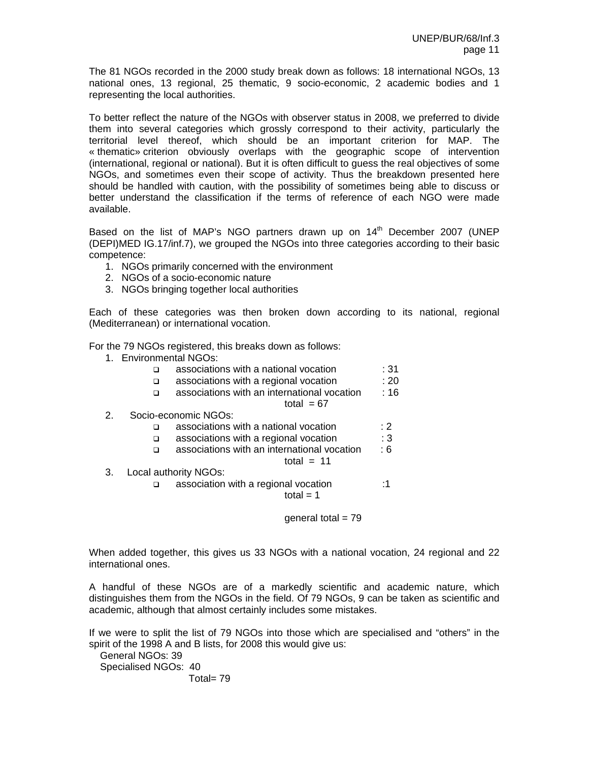The 81 NGOs recorded in the 2000 study break down as follows: 18 international NGOs, 13 national ones, 13 regional, 25 thematic, 9 socio-economic, 2 academic bodies and 1 representing the local authorities.

To better reflect the nature of the NGOs with observer status in 2008, we preferred to divide them into several categories which grossly correspond to their activity, particularly the territorial level thereof, which should be an important criterion for MAP. The « thematic» criterion obviously overlaps with the geographic scope of intervention (international, regional or national). But it is often difficult to guess the real objectives of some NGOs, and sometimes even their scope of activity. Thus the breakdown presented here should be handled with caution, with the possibility of sometimes being able to discuss or better understand the classification if the terms of reference of each NGO were made available.

Based on the list of MAP's NGO partners drawn up on  $14<sup>th</sup>$  December 2007 (UNEP (DEPI)MED IG.17/inf.7), we grouped the NGOs into three categories according to their basic competence:

- 1. NGOs primarily concerned with the environment
- 2. NGOs of a socio-economic nature
- 3. NGOs bringing together local authorities

Each of these categories was then broken down according to its national, regional (Mediterranean) or international vocation.

For the 79 NGOs registered, this breaks down as follows:

- 1. Environmental NGOs:
	- associations with a national vocation : 31
	- associations with a regional vocation : 20
	- associations with an international vocation : 16

total  $= 67$ 

- 2. Socio-economic NGOs:
	- □ associations with a national vocation : 2
	- $\Box$  associations with a regional vocation : 3
	- associations with an international vocation : 6
		- total  $= 11$
- 3. Local authority NGOs:
	- association with a regional vocation :1

total  $= 1$ 

general total  $= 79$ 

When added together, this gives us 33 NGOs with a national vocation, 24 regional and 22 international ones.

A handful of these NGOs are of a markedly scientific and academic nature, which distinguishes them from the NGOs in the field. Of 79 NGOs, 9 can be taken as scientific and academic, although that almost certainly includes some mistakes.

If we were to split the list of 79 NGOs into those which are specialised and "others" in the spirit of the 1998 A and B lists, for 2008 this would give us:

 General NGOs: 39 Specialised NGOs: 40 Total= 79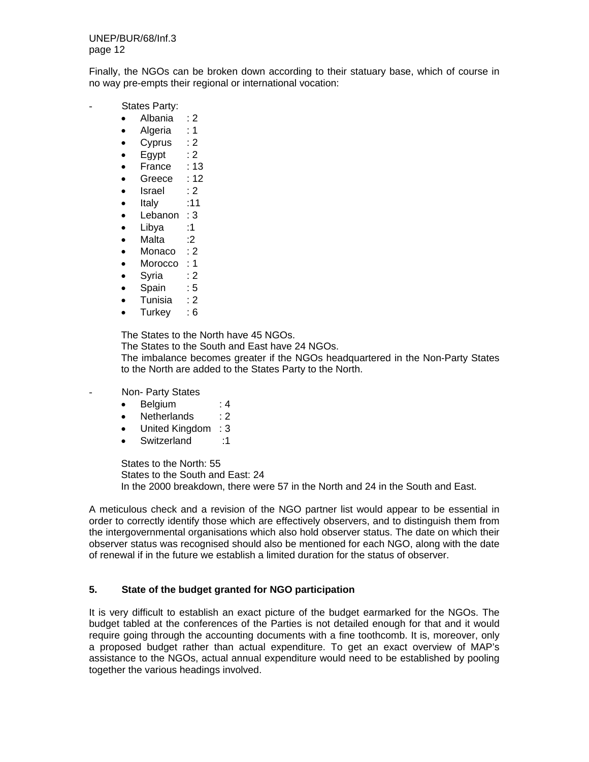Finally, the NGOs can be broken down according to their statuary base, which of course in no way pre-empts their regional or international vocation:

- States Party:
	- Albania : 2
	- Algeria : 1
	- Cyprus : 2
	- $\bullet$  Egypt : 2
	- France : 13
	- Greece : 12
	- $\bullet$  Israel : 2
	- Italy :11
	- Lebanon : 3
	- Libya :1
	- Malta :2
	- Monaco : 2
	- Morocco : 1
	- Syria : 2
	- Spain : 5
	- Tunisia : 2
	- Turkey : 6

The States to the North have 45 NGOs.

The States to the South and East have 24 NGOs.

The imbalance becomes greater if the NGOs headquartered in the Non-Party States to the North are added to the States Party to the North.

- Non- Party States
	- Belgium : 4
	- Netherlands : 2
	- United Kingdom : 3
	- Switzerland :1

States to the North: 55 States to the South and East: 24 In the 2000 breakdown, there were 57 in the North and 24 in the South and East.

A meticulous check and a revision of the NGO partner list would appear to be essential in order to correctly identify those which are effectively observers, and to distinguish them from the intergovernmental organisations which also hold observer status. The date on which their observer status was recognised should also be mentioned for each NGO, along with the date of renewal if in the future we establish a limited duration for the status of observer.

# **5. State of the budget granted for NGO participation**

It is very difficult to establish an exact picture of the budget earmarked for the NGOs. The budget tabled at the conferences of the Parties is not detailed enough for that and it would require going through the accounting documents with a fine toothcomb. It is, moreover, only a proposed budget rather than actual expenditure. To get an exact overview of MAP's assistance to the NGOs, actual annual expenditure would need to be established by pooling together the various headings involved.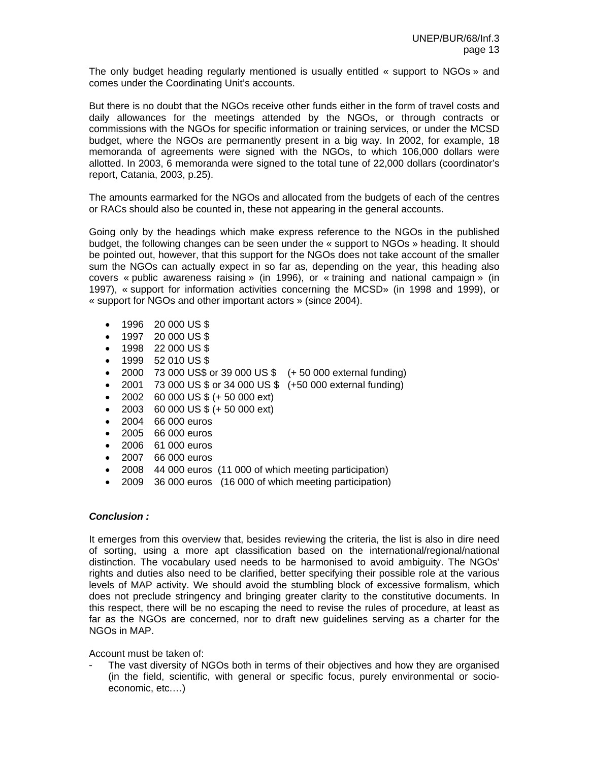The only budget heading regularly mentioned is usually entitled « support to NGOs » and comes under the Coordinating Unit's accounts.

But there is no doubt that the NGOs receive other funds either in the form of travel costs and daily allowances for the meetings attended by the NGOs, or through contracts or commissions with the NGOs for specific information or training services, or under the MCSD budget, where the NGOs are permanently present in a big way. In 2002, for example, 18 memoranda of agreements were signed with the NGOs, to which 106,000 dollars were allotted. In 2003, 6 memoranda were signed to the total tune of 22,000 dollars (coordinator's report, Catania, 2003, p.25).

The amounts earmarked for the NGOs and allocated from the budgets of each of the centres or RACs should also be counted in, these not appearing in the general accounts.

Going only by the headings which make express reference to the NGOs in the published budget, the following changes can be seen under the « support to NGOs » heading. It should be pointed out, however, that this support for the NGOs does not take account of the smaller sum the NGOs can actually expect in so far as, depending on the year, this heading also covers « public awareness raising » (in 1996), or « training and national campaign » (in 1997), « support for information activities concerning the MCSD» (in 1998 and 1999), or « support for NGOs and other important actors » (since 2004).

- 1996 20 000 US \$
- 1997 20 000 US \$
- 1998 22 000 US \$
- 1999 52 010 US \$
- 2000 73 000 US\$ or 39 000 US \$ (+ 50 000 external funding)
- 2001 73 000 US \$ or 34 000 US \$ (+50 000 external funding)
- 2002 60 000 US \$ (+ 50 000 ext)
- 2003 60 000 US  $$ (+ 50 000 \text{ ext})$
- 2004 66 000 euros
- 2005 66 000 euros
- 2006 61 000 euros
- 2007 66 000 euros
- 2008 44 000 euros (11 000 of which meeting participation)
- 2009 36 000 euros (16 000 of which meeting participation)

#### *Conclusion :*

It emerges from this overview that, besides reviewing the criteria, the list is also in dire need of sorting, using a more apt classification based on the international/regional/national distinction. The vocabulary used needs to be harmonised to avoid ambiguity. The NGOs' rights and duties also need to be clarified, better specifying their possible role at the various levels of MAP activity. We should avoid the stumbling block of excessive formalism, which does not preclude stringency and bringing greater clarity to the constitutive documents. In this respect, there will be no escaping the need to revise the rules of procedure, at least as far as the NGOs are concerned, nor to draft new guidelines serving as a charter for the NGOs in MAP.

Account must be taken of:

The vast diversity of NGOs both in terms of their objectives and how they are organised (in the field, scientific, with general or specific focus, purely environmental or socioeconomic, etc.…)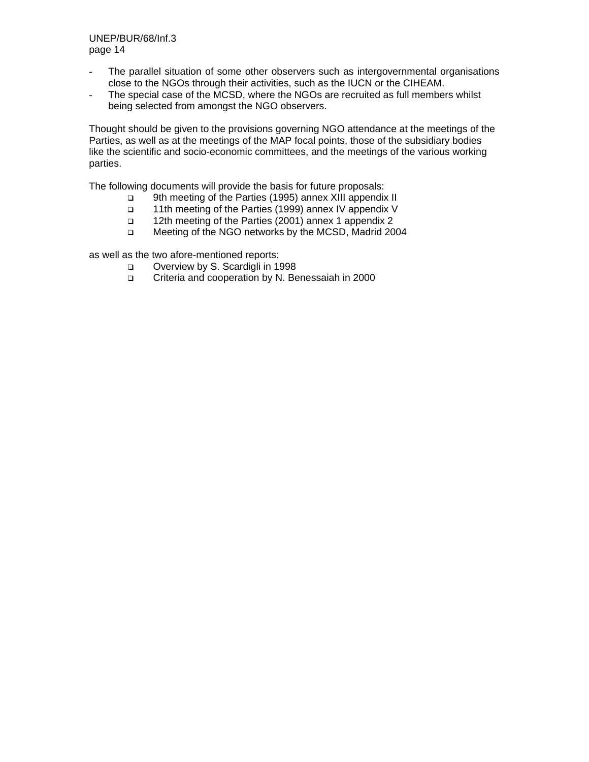- The parallel situation of some other observers such as intergovernmental organisations close to the NGOs through their activities, such as the IUCN or the CIHEAM.
- The special case of the MCSD, where the NGOs are recruited as full members whilst being selected from amongst the NGO observers.

Thought should be given to the provisions governing NGO attendance at the meetings of the Parties, as well as at the meetings of the MAP focal points, those of the subsidiary bodies like the scientific and socio-economic committees, and the meetings of the various working parties.

The following documents will provide the basis for future proposals:

- 9th meeting of the Parties (1995) annex XIII appendix II
- 11th meeting of the Parties (1999) annex IV appendix V
- 12th meeting of the Parties (2001) annex 1 appendix 2
- □ Meeting of the NGO networks by the MCSD, Madrid 2004

as well as the two afore-mentioned reports:

- Overview by S. Scardigli in 1998
- Criteria and cooperation by N. Benessaiah in 2000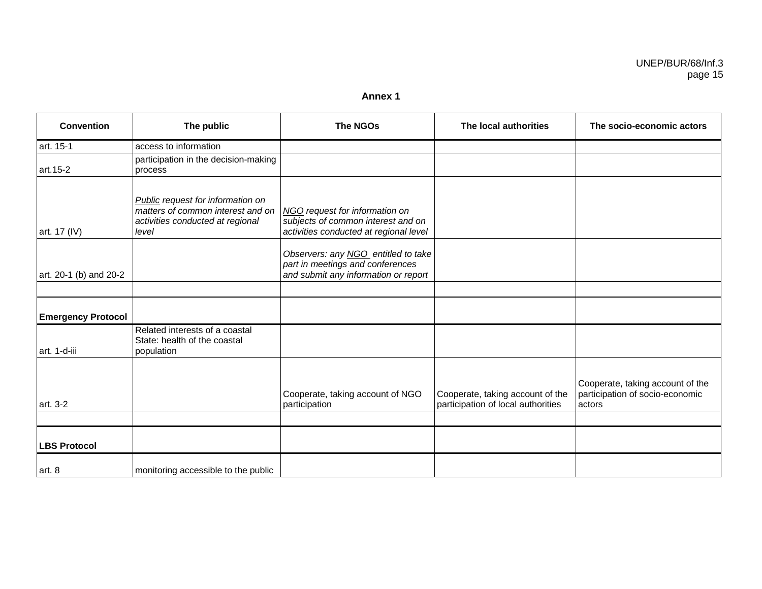#### **Annex 1**

| <b>Convention</b>         | The public                                                                                                                 | <b>The NGOs</b>                                                                                                 | The local authorities                                                  | The socio-economic actors                                                     |
|---------------------------|----------------------------------------------------------------------------------------------------------------------------|-----------------------------------------------------------------------------------------------------------------|------------------------------------------------------------------------|-------------------------------------------------------------------------------|
| art. 15-1                 | access to information                                                                                                      |                                                                                                                 |                                                                        |                                                                               |
| art.15-2                  | participation in the decision-making<br>process                                                                            |                                                                                                                 |                                                                        |                                                                               |
| art. 17 (IV)              | <b>Public</b> request for information on<br>matters of common interest and on<br>activities conducted at regional<br>level | NGO request for information on<br>subjects of common interest and on<br>activities conducted at regional level  |                                                                        |                                                                               |
| art. 20-1 (b) and 20-2    |                                                                                                                            | Observers: any NGO entitled to take<br>part in meetings and conferences<br>and submit any information or report |                                                                        |                                                                               |
|                           |                                                                                                                            |                                                                                                                 |                                                                        |                                                                               |
| <b>Emergency Protocol</b> |                                                                                                                            |                                                                                                                 |                                                                        |                                                                               |
| art. 1-d-iii              | Related interests of a coastal<br>State: health of the coastal<br>population                                               |                                                                                                                 |                                                                        |                                                                               |
| art. 3-2                  |                                                                                                                            | Cooperate, taking account of NGO<br>participation                                                               | Cooperate, taking account of the<br>participation of local authorities | Cooperate, taking account of the<br>participation of socio-economic<br>actors |
|                           |                                                                                                                            |                                                                                                                 |                                                                        |                                                                               |
| <b>LBS Protocol</b>       |                                                                                                                            |                                                                                                                 |                                                                        |                                                                               |
| art. 8                    | monitoring accessible to the public                                                                                        |                                                                                                                 |                                                                        |                                                                               |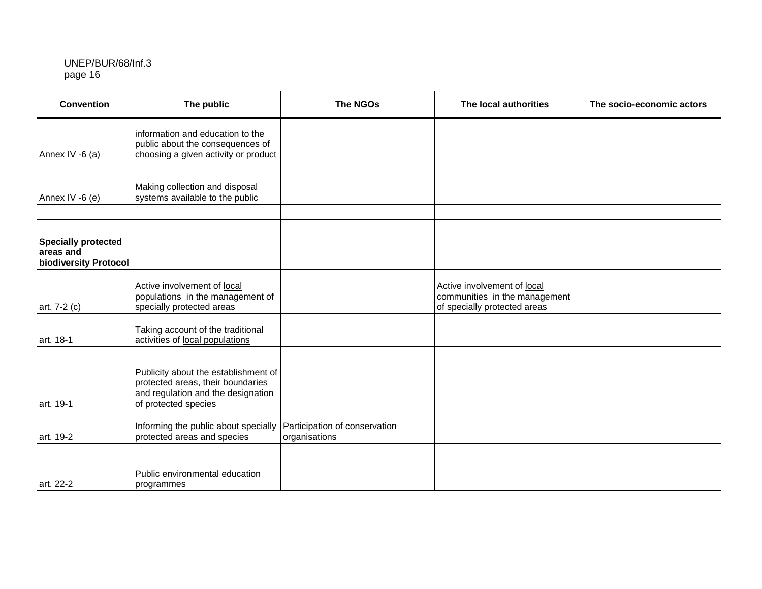| <b>Convention</b>                                                | The public                                                                                                                              | <b>The NGOs</b>                                | The local authorities                                                                        | The socio-economic actors |
|------------------------------------------------------------------|-----------------------------------------------------------------------------------------------------------------------------------------|------------------------------------------------|----------------------------------------------------------------------------------------------|---------------------------|
| Annex IV -6 (a)                                                  | information and education to the<br>public about the consequences of<br>choosing a given activity or product                            |                                                |                                                                                              |                           |
| Annex IV -6 (e)                                                  | Making collection and disposal<br>systems available to the public                                                                       |                                                |                                                                                              |                           |
|                                                                  |                                                                                                                                         |                                                |                                                                                              |                           |
| <b>Specially protected</b><br>areas and<br>biodiversity Protocol |                                                                                                                                         |                                                |                                                                                              |                           |
| art. 7-2 (c)                                                     | Active involvement of local<br>populations in the management of<br>specially protected areas                                            |                                                | Active involvement of local<br>communities in the management<br>of specially protected areas |                           |
| art. 18-1                                                        | Taking account of the traditional<br>activities of local populations                                                                    |                                                |                                                                                              |                           |
| art. 19-1                                                        | Publicity about the establishment of<br>protected areas, their boundaries<br>and regulation and the designation<br>of protected species |                                                |                                                                                              |                           |
| art. 19-2                                                        | Informing the public about specially<br>protected areas and species                                                                     | Participation of conservation<br>organisations |                                                                                              |                           |
| art. 22-2                                                        | Public environmental education<br>programmes                                                                                            |                                                |                                                                                              |                           |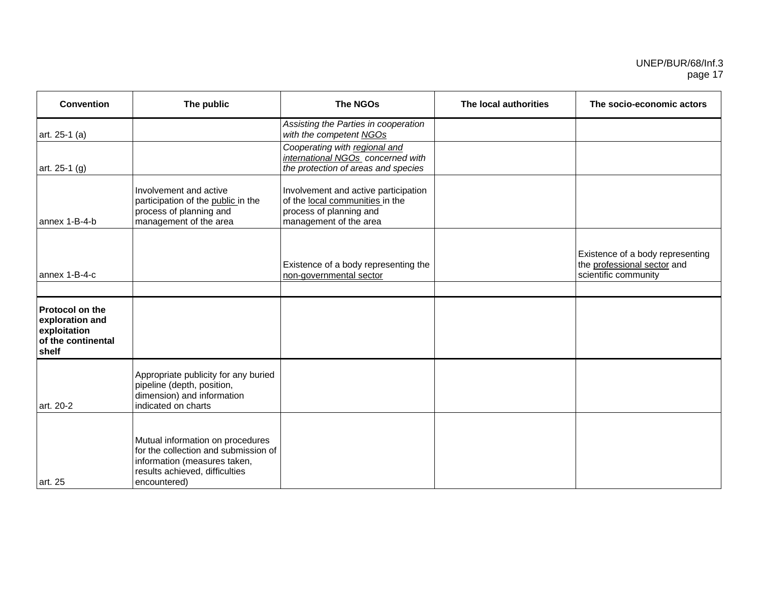| <b>Convention</b>                                                                        | The public                                                                                                                                                 | <b>The NGOs</b>                                                                                                              | The local authorities | The socio-economic actors                                                               |
|------------------------------------------------------------------------------------------|------------------------------------------------------------------------------------------------------------------------------------------------------------|------------------------------------------------------------------------------------------------------------------------------|-----------------------|-----------------------------------------------------------------------------------------|
| art. 25-1 (a)                                                                            |                                                                                                                                                            | Assisting the Parties in cooperation<br>with the competent NGOs                                                              |                       |                                                                                         |
| art. 25-1 (g)                                                                            |                                                                                                                                                            | Cooperating with regional and<br>international NGOs concerned with<br>the protection of areas and species                    |                       |                                                                                         |
| annex 1-B-4-b                                                                            | Involvement and active<br>participation of the public in the<br>process of planning and<br>management of the area                                          | Involvement and active participation<br>of the local communities in the<br>process of planning and<br>management of the area |                       |                                                                                         |
| annex 1-B-4-c                                                                            |                                                                                                                                                            | Existence of a body representing the<br>non-governmental sector                                                              |                       | Existence of a body representing<br>the professional sector and<br>scientific community |
|                                                                                          |                                                                                                                                                            |                                                                                                                              |                       |                                                                                         |
| <b>Protocol on the</b><br>exploration and<br>exploitation<br>of the continental<br>shelf |                                                                                                                                                            |                                                                                                                              |                       |                                                                                         |
| l art. 20-2                                                                              | Appropriate publicity for any buried<br>pipeline (depth, position,<br>dimension) and information<br>indicated on charts                                    |                                                                                                                              |                       |                                                                                         |
| art. 25                                                                                  | Mutual information on procedures<br>for the collection and submission of<br>information (measures taken,<br>results achieved, difficulties<br>encountered) |                                                                                                                              |                       |                                                                                         |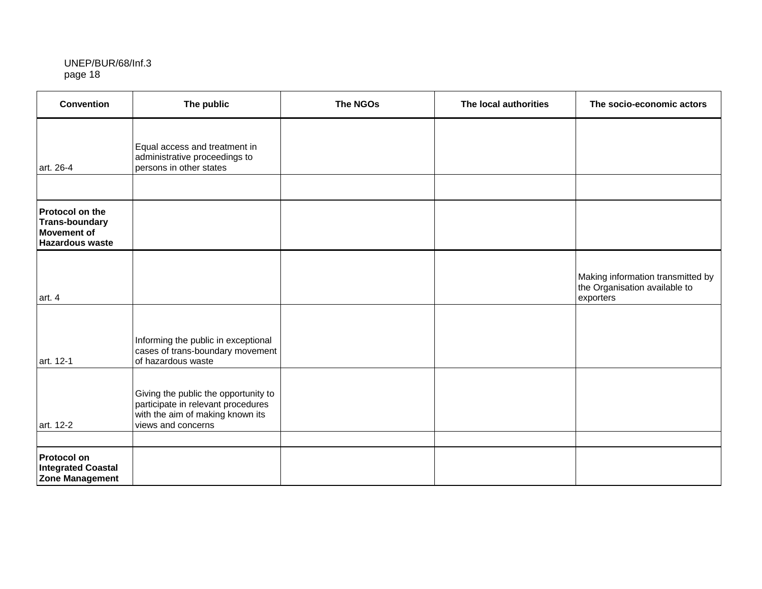| <b>Convention</b>                                                                        | The public                                                                                                                           | <b>The NGOs</b> | The local authorities | The socio-economic actors                                                       |
|------------------------------------------------------------------------------------------|--------------------------------------------------------------------------------------------------------------------------------------|-----------------|-----------------------|---------------------------------------------------------------------------------|
| art. 26-4                                                                                | Equal access and treatment in<br>administrative proceedings to<br>persons in other states                                            |                 |                       |                                                                                 |
|                                                                                          |                                                                                                                                      |                 |                       |                                                                                 |
| Protocol on the<br><b>Trans-boundary</b><br><b>Movement of</b><br><b>Hazardous waste</b> |                                                                                                                                      |                 |                       |                                                                                 |
| art. 4                                                                                   |                                                                                                                                      |                 |                       | Making information transmitted by<br>the Organisation available to<br>exporters |
| art. 12-1                                                                                | Informing the public in exceptional<br>cases of trans-boundary movement<br>of hazardous waste                                        |                 |                       |                                                                                 |
| art. 12-2                                                                                | Giving the public the opportunity to<br>participate in relevant procedures<br>with the aim of making known its<br>views and concerns |                 |                       |                                                                                 |
|                                                                                          |                                                                                                                                      |                 |                       |                                                                                 |
| <b>Protocol on</b><br><b>Integrated Coastal</b><br><b>Zone Management</b>                |                                                                                                                                      |                 |                       |                                                                                 |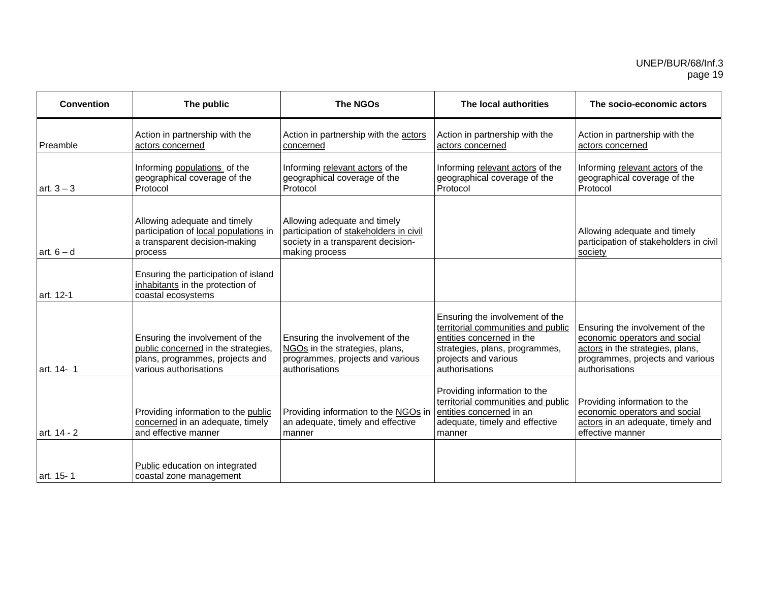| <b>Convention</b> | The public                                                                                                                          | <b>The NGOs</b>                                                                                                                | The local authorities                                                                                                                                                          | The socio-economic actors                                                                                                                                  |
|-------------------|-------------------------------------------------------------------------------------------------------------------------------------|--------------------------------------------------------------------------------------------------------------------------------|--------------------------------------------------------------------------------------------------------------------------------------------------------------------------------|------------------------------------------------------------------------------------------------------------------------------------------------------------|
| Preamble          | Action in partnership with the<br>actors concerned                                                                                  | Action in partnership with the actors<br>concerned                                                                             | Action in partnership with the<br>actors concerned                                                                                                                             | Action in partnership with the<br>actors concerned                                                                                                         |
| $art. 3 - 3$      | Informing populations of the<br>geographical coverage of the<br>Protocol                                                            | Informing relevant actors of the<br>geographical coverage of the<br>Protocol                                                   | Informing relevant actors of the<br>geographical coverage of the<br>Protocol                                                                                                   | Informing relevant actors of the<br>geographical coverage of the<br>Protocol                                                                               |
| art. $6 - d$      | Allowing adequate and timely<br>participation of local populations in<br>a transparent decision-making<br>process                   | Allowing adequate and timely<br>participation of stakeholders in civil<br>society in a transparent decision-<br>making process |                                                                                                                                                                                | Allowing adequate and timely<br>participation of stakeholders in civil<br>society                                                                          |
| art. 12-1         | Ensuring the participation of island<br>inhabitants in the protection of<br>coastal ecosystems                                      |                                                                                                                                |                                                                                                                                                                                |                                                                                                                                                            |
| art. 14- 1        | Ensuring the involvement of the<br>public concerned in the strategies,<br>plans, programmes, projects and<br>various authorisations | Ensuring the involvement of the<br>NGOs in the strategies, plans,<br>programmes, projects and various<br>authorisations        | Ensuring the involvement of the<br>territorial communities and public<br>entities concerned in the<br>strategies, plans, programmes,<br>projects and various<br>authorisations | Ensuring the involvement of the<br>economic operators and social<br>actors in the strategies, plans,<br>programmes, projects and various<br>authorisations |
| art. 14 - 2       | Providing information to the public<br>concerned in an adequate, timely<br>and effective manner                                     | Providing information to the NGOs in<br>an adequate, timely and effective<br>manner                                            | Providing information to the<br>territorial communities and public<br>entities concerned in an<br>adequate, timely and effective<br>manner                                     | Providing information to the<br>economic operators and social<br>actors in an adequate, timely and<br>effective manner                                     |
| art. 15-1         | Public education on integrated<br>coastal zone management                                                                           |                                                                                                                                |                                                                                                                                                                                |                                                                                                                                                            |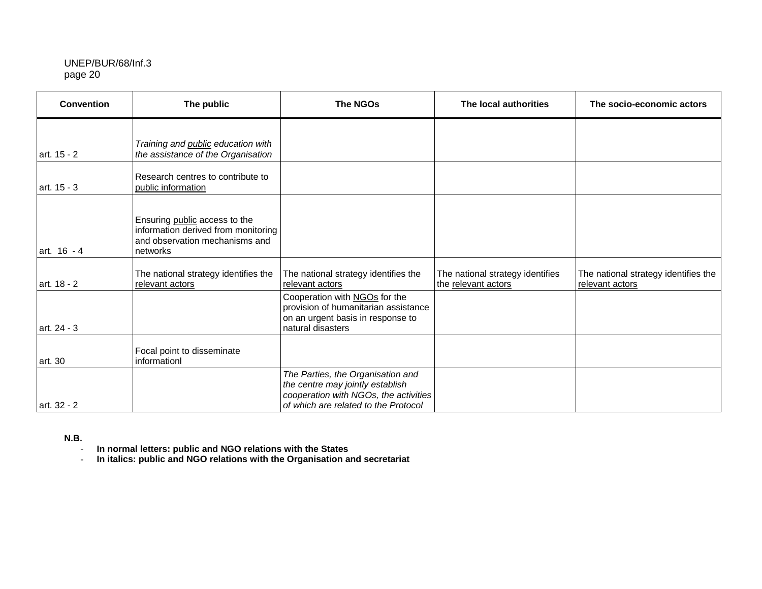| <b>Convention</b> | The public                                                                                                         | <b>The NGOs</b>                                                                                                                                        | The local authorities                                   | The socio-economic actors                               |
|-------------------|--------------------------------------------------------------------------------------------------------------------|--------------------------------------------------------------------------------------------------------------------------------------------------------|---------------------------------------------------------|---------------------------------------------------------|
| art. 15 - 2       | Training and public education with<br>the assistance of the Organisation                                           |                                                                                                                                                        |                                                         |                                                         |
| art. 15 - 3       | Research centres to contribute to<br>public information                                                            |                                                                                                                                                        |                                                         |                                                         |
| art. 16 - 4       | Ensuring public access to the<br>information derived from monitoring<br>and observation mechanisms and<br>networks |                                                                                                                                                        |                                                         |                                                         |
| art. 18 - 2       | The national strategy identifies the<br>relevant actors                                                            | The national strategy identifies the<br>relevant actors                                                                                                | The national strategy identifies<br>the relevant actors | The national strategy identifies the<br>relevant actors |
| art. 24 - 3       |                                                                                                                    | Cooperation with NGOs for the<br>provision of humanitarian assistance<br>on an urgent basis in response to<br>natural disasters                        |                                                         |                                                         |
| art. 30           | Focal point to disseminate<br>informationl                                                                         |                                                                                                                                                        |                                                         |                                                         |
| art. 32 - 2       |                                                                                                                    | The Parties, the Organisation and<br>the centre may jointly establish<br>cooperation with NGOs, the activities<br>of which are related to the Protocol |                                                         |                                                         |

**N.B.** 

- **In normal letters: public and NGO relations with the States**
- **In italics: public and NGO relations with the Organisation and secretariat**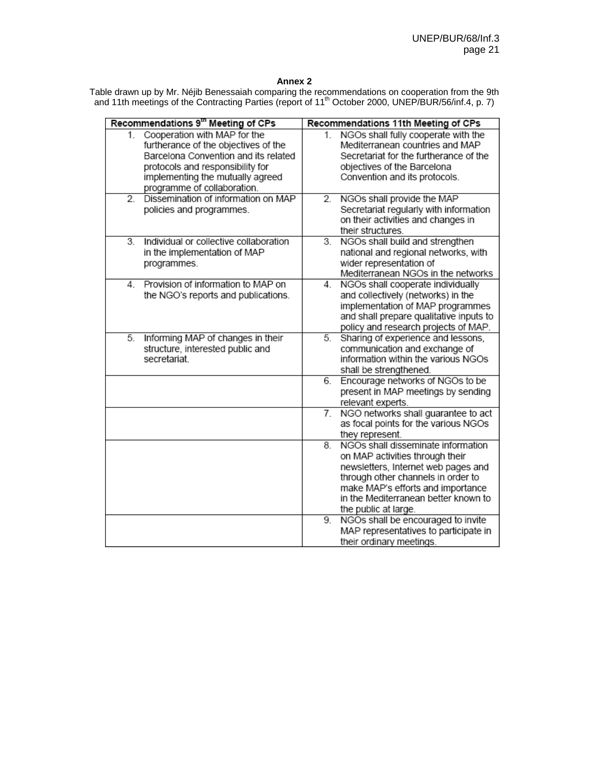#### **Annex 2**

Table drawn up by Mr. Néjib Benessaiah comparing the recommendations on cooperation from the 9th and 11th meetings of the Contracting Parties (report of 11<sup>th</sup> October 2000, UNEP/BUR/56/inf.4, p. 7)

|                  | Recommendations 9 <sup>th</sup> Meeting of CPs                                                                                                                                                                      |          | Recommendations 11th Meeting of CPs                                                                                                                                                                                                                                                           |
|------------------|---------------------------------------------------------------------------------------------------------------------------------------------------------------------------------------------------------------------|----------|-----------------------------------------------------------------------------------------------------------------------------------------------------------------------------------------------------------------------------------------------------------------------------------------------|
| 1.               | Cooperation with MAP for the<br>furtherance of the objectives of the<br>Barcelona Convention and its related<br>protocols and responsibility for<br>implementing the mutually agreed<br>programme of collaboration. | $1_{-}$  | NGOs shall fully cooperate with the<br>Mediterranean countries and MAP<br>Secretariat for the furtherance of the<br>objectives of the Barcelona<br>Convention and its protocols.                                                                                                              |
| $\overline{2}$ . | Dissemination of information on MAP<br>policies and programmes.                                                                                                                                                     | 2.       | NGOs shall provide the MAP<br>Secretariat regularly with information<br>on their activities and changes in<br>their structures.                                                                                                                                                               |
| 3.               | Individual or collective collaboration<br>in the implementation of MAP<br>programmes.                                                                                                                               | 3.       | NGOs shall build and strengthen<br>national and regional networks, with<br>wider representation of<br>Mediterranean NGOs in the networks                                                                                                                                                      |
| 4                | Provision of information to MAP on<br>the NGO's reports and publications.                                                                                                                                           | 4.       | NGOs shall cooperate individually<br>and collectively (networks) in the<br>implementation of MAP programmes<br>and shall prepare qualitative inputs to<br>policy and research projects of MAP.                                                                                                |
| 5.               | Informing MAP of changes in their<br>structure, interested public and<br>secretariat.                                                                                                                               | 5.       | Sharing of experience and lessons,<br>communication and exchange of<br>information within the various NGOs<br>shall be strengthened.                                                                                                                                                          |
|                  |                                                                                                                                                                                                                     | 6.       | Encourage networks of NGOs to be<br>present in MAP meetings by sending<br>relevant experts.                                                                                                                                                                                                   |
|                  |                                                                                                                                                                                                                     | 7.       | NGO networks shall guarantee to act<br>as focal points for the various NGOs<br>they represent.                                                                                                                                                                                                |
|                  |                                                                                                                                                                                                                     | 8.<br>9. | NGOs shall disseminate information<br>on MAP activities through their<br>newsletters, Internet web pages and<br>through other channels in order to<br>make MAP's efforts and importance<br>in the Mediterranean better known to<br>the public at large.<br>NGOs shall be encouraged to invite |
|                  |                                                                                                                                                                                                                     |          | MAP representatives to participate in<br>their ordinary meetings                                                                                                                                                                                                                              |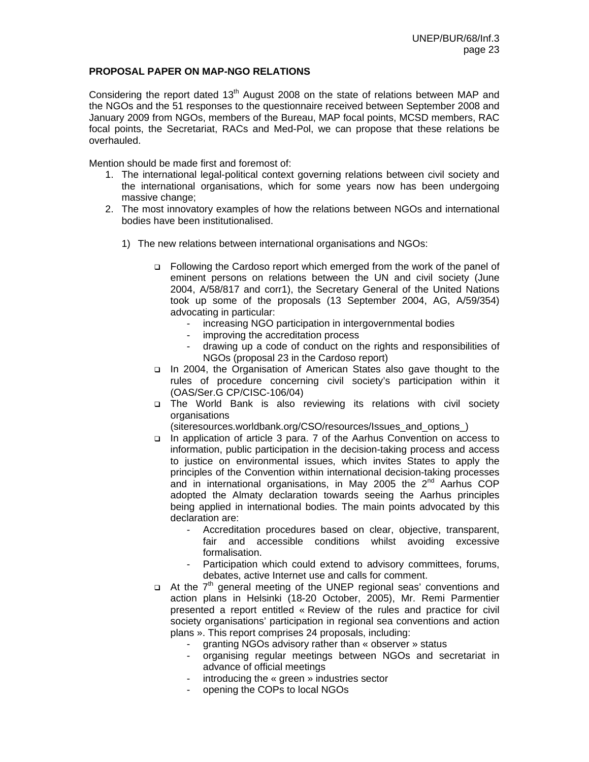# **PROPOSAL PAPER ON MAP-NGO RELATIONS**

Considering the report dated  $13<sup>th</sup>$  August 2008 on the state of relations between MAP and the NGOs and the 51 responses to the questionnaire received between September 2008 and January 2009 from NGOs, members of the Bureau, MAP focal points, MCSD members, RAC focal points, the Secretariat, RACs and Med-Pol, we can propose that these relations be overhauled.

Mention should be made first and foremost of:

- 1. The international legal-political context governing relations between civil society and the international organisations, which for some years now has been undergoing massive change;
- 2. The most innovatory examples of how the relations between NGOs and international bodies have been institutionalised.
	- 1) The new relations between international organisations and NGOs:
		- Following the Cardoso report which emerged from the work of the panel of eminent persons on relations between the UN and civil society (June 2004, A/58/817 and corr1), the Secretary General of the United Nations took up some of the proposals (13 September 2004, AG, A/59/354) advocating in particular:
			- increasing NGO participation in intergovernmental bodies
			- improving the accreditation process
			- drawing up a code of conduct on the rights and responsibilities of NGOs (proposal 23 in the Cardoso report)
		- In 2004, the Organisation of American States also gave thought to the rules of procedure concerning civil society's participation within it (OAS/Ser.G CP/CISC-106/04)
		- The World Bank is also reviewing its relations with civil society **organisations**

(siteresources.worldbank.org/CSO/resources/Issues\_and\_options\_)

- □ In application of article 3 para. 7 of the Aarhus Convention on access to information, public participation in the decision-taking process and access to justice on environmental issues, which invites States to apply the principles of the Convention within international decision-taking processes and in international organisations, in May 2005 the  $2<sup>nd</sup>$  Aarhus COP adopted the Almaty declaration towards seeing the Aarhus principles being applied in international bodies. The main points advocated by this declaration are:
	- Accreditation procedures based on clear, objective, transparent, fair and accessible conditions whilst avoiding excessive formalisation.
	- Participation which could extend to advisory committees, forums, debates, active Internet use and calls for comment.
- $\Box$  At the 7<sup>th</sup> general meeting of the UNEP regional seas' conventions and action plans in Helsinki (18-20 October, 2005), Mr. Remi Parmentier presented a report entitled « Review of the rules and practice for civil society organisations' participation in regional sea conventions and action plans ». This report comprises 24 proposals, including:
	- granting NGOs advisory rather than « observer » status
	- organising regular meetings between NGOs and secretariat in advance of official meetings
	- introducing the « green » industries sector
	- opening the COPs to local NGOs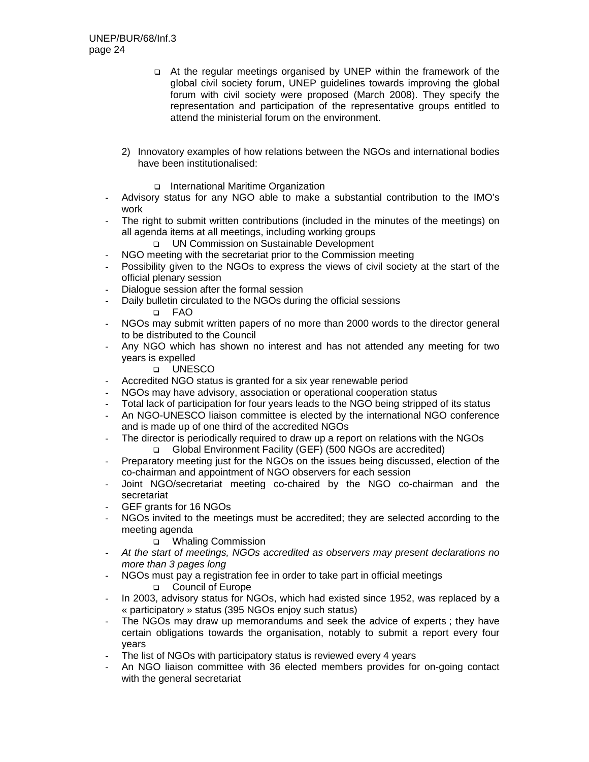- At the regular meetings organised by UNEP within the framework of the global civil society forum, UNEP guidelines towards improving the global forum with civil society were proposed (March 2008). They specify the representation and participation of the representative groups entitled to attend the ministerial forum on the environment.
- 2) Innovatory examples of how relations between the NGOs and international bodies have been institutionalised:
	- □ International Maritime Organization
- Advisory status for any NGO able to make a substantial contribution to the IMO's work
- The right to submit written contributions (included in the minutes of the meetings) on all agenda items at all meetings, including working groups
	- UN Commission on Sustainable Development
- NGO meeting with the secretariat prior to the Commission meeting
- Possibility given to the NGOs to express the views of civil society at the start of the official plenary session
- Dialogue session after the formal session
- Daily bulletin circulated to the NGOs during the official sessions FAO
- NGOs may submit written papers of no more than 2000 words to the director general to be distributed to the Council
- Any NGO which has shown no interest and has not attended any meeting for two years is expelled

#### UNESCO

- Accredited NGO status is granted for a six year renewable period
- NGOs may have advisory, association or operational cooperation status
- Total lack of participation for four years leads to the NGO being stripped of its status
- An NGO-UNESCO liaison committee is elected by the international NGO conference and is made up of one third of the accredited NGOs
- The director is periodically required to draw up a report on relations with the NGOs Global Environment Facility (GEF) (500 NGOs are accredited)
- Preparatory meeting just for the NGOs on the issues being discussed, election of the co-chairman and appointment of NGO observers for each session
- Joint NGO/secretariat meeting co-chaired by the NGO co-chairman and the secretariat
- GEF grants for 16 NGOs
- NGOs invited to the meetings must be accredited; they are selected according to the meeting agenda

#### □ Whaling Commission

- *At the start of meetings, NGOs accredited as observers may present declarations no more than 3 pages long*
- NGOs must pay a registration fee in order to take part in official meetings

#### Council of Europe

- In 2003, advisory status for NGOs, which had existed since 1952, was replaced by a « participatory » status (395 NGOs enjoy such status)
- The NGOs may draw up memorandums and seek the advice of experts; they have certain obligations towards the organisation, notably to submit a report every four years
- The list of NGOs with participatory status is reviewed every 4 years
- An NGO liaison committee with 36 elected members provides for on-going contact with the general secretariat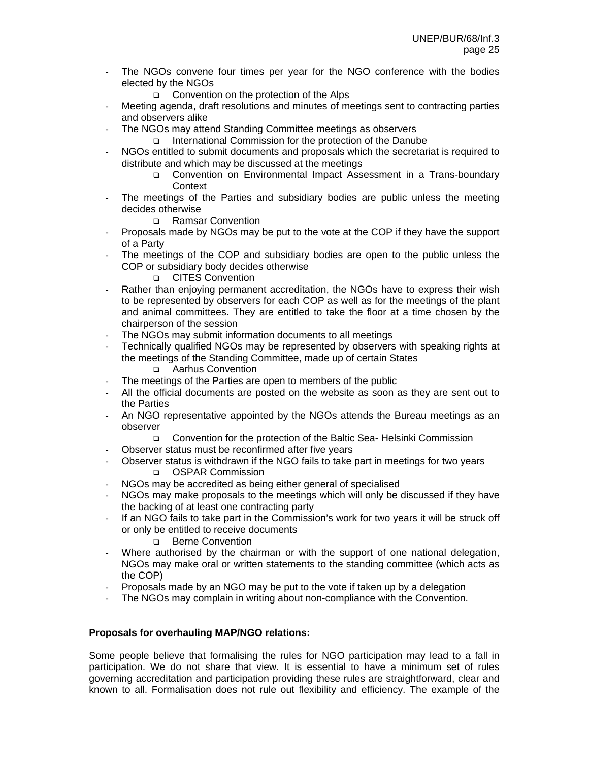- The NGOs convene four times per year for the NGO conference with the bodies elected by the NGOs
	- □ Convention on the protection of the Alps
- Meeting agenda, draft resolutions and minutes of meetings sent to contracting parties and observers alike
- The NGOs may attend Standing Committee meetings as observers
	- International Commission for the protection of the Danube
- NGOs entitled to submit documents and proposals which the secretariat is required to distribute and which may be discussed at the meetings
	- Convention on Environmental Impact Assessment in a Trans-boundary **Context**
- The meetings of the Parties and subsidiary bodies are public unless the meeting decides otherwise
	- □ Ramsar Convention
- Proposals made by NGOs may be put to the vote at the COP if they have the support of a Party
- The meetings of the COP and subsidiary bodies are open to the public unless the COP or subsidiary body decides otherwise
	- **Q** CITES Convention
- Rather than enjoying permanent accreditation, the NGOs have to express their wish to be represented by observers for each COP as well as for the meetings of the plant and animal committees. They are entitled to take the floor at a time chosen by the chairperson of the session
- The NGOs may submit information documents to all meetings
- Technically qualified NGOs may be represented by observers with speaking rights at the meetings of the Standing Committee, made up of certain States
	- Aarhus Convention
- The meetings of the Parties are open to members of the public
- All the official documents are posted on the website as soon as they are sent out to the Parties
- An NGO representative appointed by the NGOs attends the Bureau meetings as an observer
	- Convention for the protection of the Baltic Sea- Helsinki Commission
- Observer status must be reconfirmed after five years
- Observer status is withdrawn if the NGO fails to take part in meetings for two years OSPAR Commission
- NGOs may be accredited as being either general of specialised
- NGOs may make proposals to the meetings which will only be discussed if they have the backing of at least one contracting party
- If an NGO fails to take part in the Commission's work for two years it will be struck off or only be entitled to receive documents
	- **Berne Convention**
- Where authorised by the chairman or with the support of one national delegation, NGOs may make oral or written statements to the standing committee (which acts as the COP)
- Proposals made by an NGO may be put to the vote if taken up by a delegation
- The NGOs may complain in writing about non-compliance with the Convention.

# **Proposals for overhauling MAP/NGO relations:**

Some people believe that formalising the rules for NGO participation may lead to a fall in participation. We do not share that view. It is essential to have a minimum set of rules governing accreditation and participation providing these rules are straightforward, clear and known to all. Formalisation does not rule out flexibility and efficiency. The example of the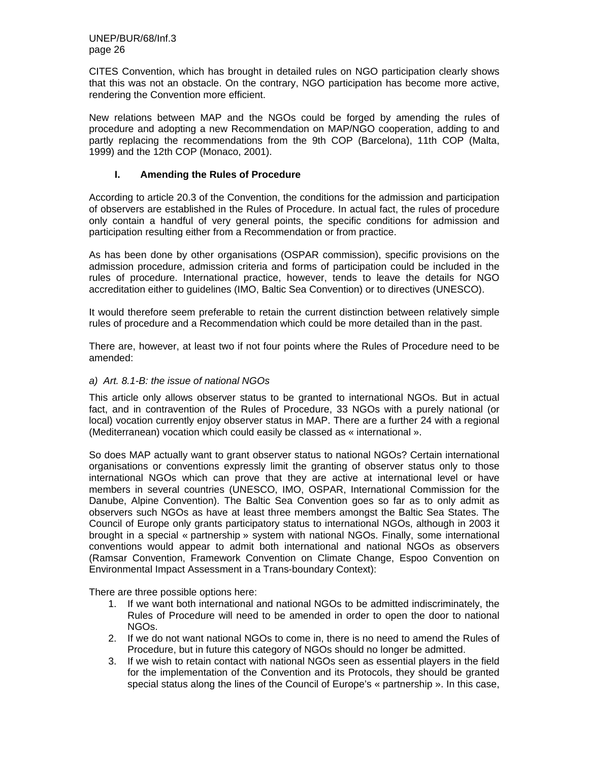CITES Convention, which has brought in detailed rules on NGO participation clearly shows that this was not an obstacle. On the contrary, NGO participation has become more active, rendering the Convention more efficient.

New relations between MAP and the NGOs could be forged by amending the rules of procedure and adopting a new Recommendation on MAP/NGO cooperation, adding to and partly replacing the recommendations from the 9th COP (Barcelona), 11th COP (Malta, 1999) and the 12th COP (Monaco, 2001).

# **I. Amending the Rules of Procedure**

According to article 20.3 of the Convention, the conditions for the admission and participation of observers are established in the Rules of Procedure. In actual fact, the rules of procedure only contain a handful of very general points, the specific conditions for admission and participation resulting either from a Recommendation or from practice.

As has been done by other organisations (OSPAR commission), specific provisions on the admission procedure, admission criteria and forms of participation could be included in the rules of procedure. International practice, however, tends to leave the details for NGO accreditation either to guidelines (IMO, Baltic Sea Convention) or to directives (UNESCO).

It would therefore seem preferable to retain the current distinction between relatively simple rules of procedure and a Recommendation which could be more detailed than in the past.

There are, however, at least two if not four points where the Rules of Procedure need to be amended:

#### *a) Art. 8.1-B: the issue of national NGOs*

This article only allows observer status to be granted to international NGOs. But in actual fact, and in contravention of the Rules of Procedure, 33 NGOs with a purely national (or local) vocation currently enjoy observer status in MAP. There are a further 24 with a regional (Mediterranean) vocation which could easily be classed as « international ».

So does MAP actually want to grant observer status to national NGOs? Certain international organisations or conventions expressly limit the granting of observer status only to those international NGOs which can prove that they are active at international level or have members in several countries (UNESCO, IMO, OSPAR, International Commission for the Danube, Alpine Convention). The Baltic Sea Convention goes so far as to only admit as observers such NGOs as have at least three members amongst the Baltic Sea States. The Council of Europe only grants participatory status to international NGOs, although in 2003 it brought in a special « partnership » system with national NGOs. Finally, some international conventions would appear to admit both international and national NGOs as observers (Ramsar Convention, Framework Convention on Climate Change, Espoo Convention on Environmental Impact Assessment in a Trans-boundary Context):

There are three possible options here:

- 1. If we want both international and national NGOs to be admitted indiscriminately, the Rules of Procedure will need to be amended in order to open the door to national NGOs.
- 2. If we do not want national NGOs to come in, there is no need to amend the Rules of Procedure, but in future this category of NGOs should no longer be admitted.
- 3. If we wish to retain contact with national NGOs seen as essential players in the field for the implementation of the Convention and its Protocols, they should be granted special status along the lines of the Council of Europe's « partnership ». In this case,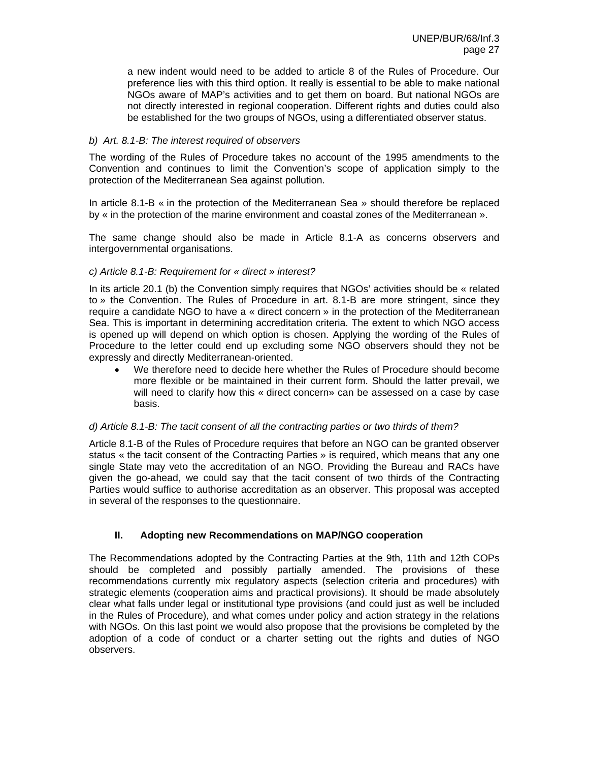a new indent would need to be added to article 8 of the Rules of Procedure. Our preference lies with this third option. It really is essential to be able to make national NGOs aware of MAP's activities and to get them on board. But national NGOs are not directly interested in regional cooperation. Different rights and duties could also be established for the two groups of NGOs, using a differentiated observer status.

# *b) Art. 8.1-B: The interest required of observers*

The wording of the Rules of Procedure takes no account of the 1995 amendments to the Convention and continues to limit the Convention's scope of application simply to the protection of the Mediterranean Sea against pollution.

In article 8.1-B « in the protection of the Mediterranean Sea » should therefore be replaced by « in the protection of the marine environment and coastal zones of the Mediterranean ».

The same change should also be made in Article 8.1-A as concerns observers and intergovernmental organisations.

#### *c) Article 8.1-B: Requirement for « direct » interest?*

In its article 20.1 (b) the Convention simply requires that NGOs' activities should be « related to » the Convention. The Rules of Procedure in art. 8.1-B are more stringent, since they require a candidate NGO to have a « direct concern » in the protection of the Mediterranean Sea. This is important in determining accreditation criteria. The extent to which NGO access is opened up will depend on which option is chosen. Applying the wording of the Rules of Procedure to the letter could end up excluding some NGO observers should they not be expressly and directly Mediterranean-oriented.

• We therefore need to decide here whether the Rules of Procedure should become more flexible or be maintained in their current form. Should the latter prevail, we will need to clarify how this « direct concern» can be assessed on a case by case basis.

#### *d) Article 8.1-B: The tacit consent of all the contracting parties or two thirds of them?*

Article 8.1-B of the Rules of Procedure requires that before an NGO can be granted observer status « the tacit consent of the Contracting Parties » is required, which means that any one single State may veto the accreditation of an NGO. Providing the Bureau and RACs have given the go-ahead, we could say that the tacit consent of two thirds of the Contracting Parties would suffice to authorise accreditation as an observer. This proposal was accepted in several of the responses to the questionnaire.

# **II. Adopting new Recommendations on MAP/NGO cooperation**

The Recommendations adopted by the Contracting Parties at the 9th, 11th and 12th COPs should be completed and possibly partially amended. The provisions of these recommendations currently mix regulatory aspects (selection criteria and procedures) with strategic elements (cooperation aims and practical provisions). It should be made absolutely clear what falls under legal or institutional type provisions (and could just as well be included in the Rules of Procedure), and what comes under policy and action strategy in the relations with NGOs. On this last point we would also propose that the provisions be completed by the adoption of a code of conduct or a charter setting out the rights and duties of NGO observers.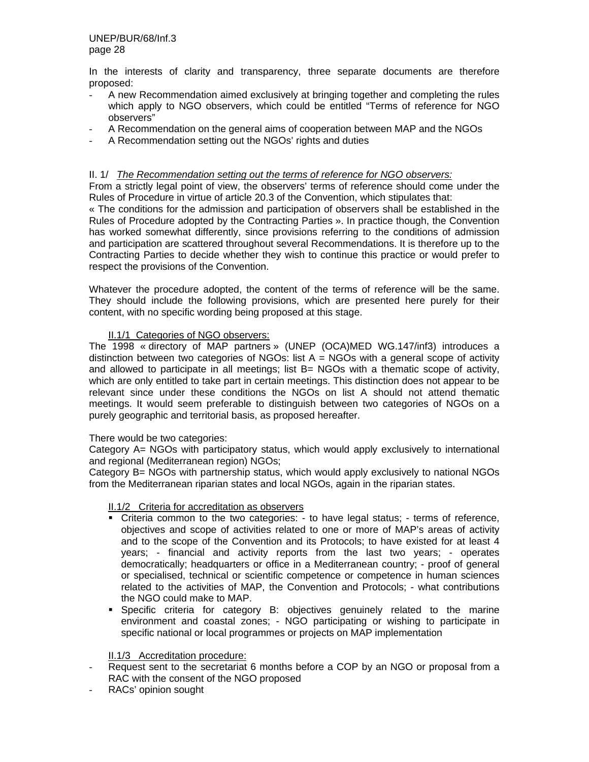In the interests of clarity and transparency, three separate documents are therefore proposed:

- A new Recommendation aimed exclusively at bringing together and completing the rules which apply to NGO observers, which could be entitled "Terms of reference for NGO observers"
- A Recommendation on the general aims of cooperation between MAP and the NGOs
- A Recommendation setting out the NGOs' rights and duties

#### II. 1/ *The Recommendation setting out the terms of reference for NGO observers:*

From a strictly legal point of view, the observers' terms of reference should come under the Rules of Procedure in virtue of article 20.3 of the Convention, which stipulates that:

« The conditions for the admission and participation of observers shall be established in the Rules of Procedure adopted by the Contracting Parties ». In practice though, the Convention has worked somewhat differently, since provisions referring to the conditions of admission and participation are scattered throughout several Recommendations. It is therefore up to the Contracting Parties to decide whether they wish to continue this practice or would prefer to respect the provisions of the Convention.

Whatever the procedure adopted, the content of the terms of reference will be the same. They should include the following provisions, which are presented here purely for their content, with no specific wording being proposed at this stage.

# II.1/1 Categories of NGO observers:

The 1998 « directory of MAP partners » (UNEP (OCA)MED WG.147/inf3) introduces a distinction between two categories of NGOs: list  $A = NGOs$  with a general scope of activity and allowed to participate in all meetings; list B= NGOs with a thematic scope of activity, which are only entitled to take part in certain meetings. This distinction does not appear to be relevant since under these conditions the NGOs on list A should not attend thematic meetings. It would seem preferable to distinguish between two categories of NGOs on a purely geographic and territorial basis, as proposed hereafter.

#### There would be two categories:

Category A= NGOs with participatory status, which would apply exclusively to international and regional (Mediterranean region) NGOs;

Category B= NGOs with partnership status, which would apply exclusively to national NGOs from the Mediterranean riparian states and local NGOs, again in the riparian states.

#### II.1/2 Criteria for accreditation as observers

- Criteria common to the two categories: to have legal status; terms of reference, objectives and scope of activities related to one or more of MAP's areas of activity and to the scope of the Convention and its Protocols; to have existed for at least 4 years; - financial and activity reports from the last two years; - operates democratically; headquarters or office in a Mediterranean country; - proof of general or specialised, technical or scientific competence or competence in human sciences related to the activities of MAP, the Convention and Protocols; - what contributions the NGO could make to MAP.
- Specific criteria for category B: objectives genuinely related to the marine environment and coastal zones; - NGO participating or wishing to participate in specific national or local programmes or projects on MAP implementation

#### II.1/3 Accreditation procedure:

- Request sent to the secretariat 6 months before a COP by an NGO or proposal from a RAC with the consent of the NGO proposed
- RACs' opinion sought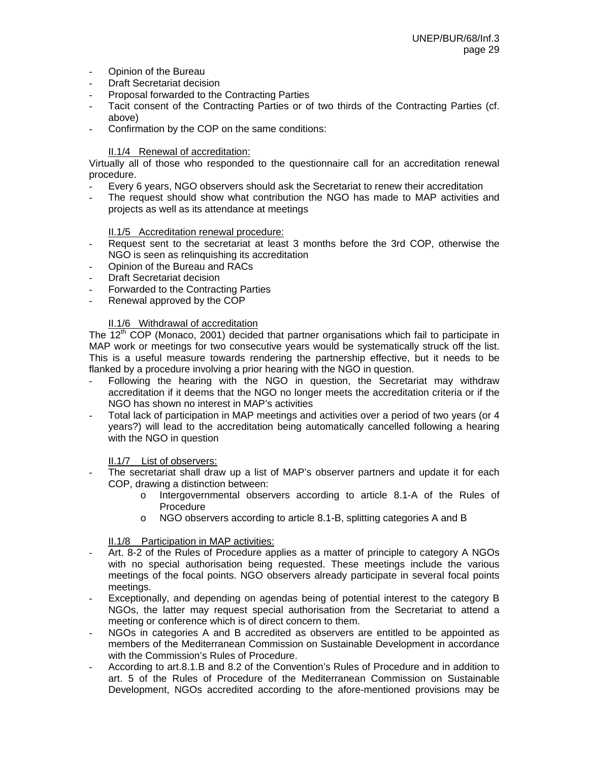- Opinion of the Bureau
- Draft Secretariat decision
- Proposal forwarded to the Contracting Parties
- Tacit consent of the Contracting Parties or of two thirds of the Contracting Parties (cf. above)
- Confirmation by the COP on the same conditions:

# II.1/4 Renewal of accreditation:

Virtually all of those who responded to the questionnaire call for an accreditation renewal procedure.

- Every 6 years, NGO observers should ask the Secretariat to renew their accreditation
- The request should show what contribution the NGO has made to MAP activities and projects as well as its attendance at meetings

#### II.1/5 Accreditation renewal procedure:

- Request sent to the secretariat at least 3 months before the 3rd COP, otherwise the NGO is seen as relinquishing its accreditation
- Opinion of the Bureau and RACs
- Draft Secretariat decision
- Forwarded to the Contracting Parties
- Renewal approved by the COP

# II.1/6 Withdrawal of accreditation

The  $12<sup>th</sup>$  COP (Monaco, 2001) decided that partner organisations which fail to participate in MAP work or meetings for two consecutive years would be systematically struck off the list. This is a useful measure towards rendering the partnership effective, but it needs to be flanked by a procedure involving a prior hearing with the NGO in question.

- Following the hearing with the NGO in question, the Secretariat may withdraw accreditation if it deems that the NGO no longer meets the accreditation criteria or if the NGO has shown no interest in MAP's activities
- Total lack of participation in MAP meetings and activities over a period of two years (or 4 years?) will lead to the accreditation being automatically cancelled following a hearing with the NGO in question

#### II.1/7 List of observers:

- The secretariat shall draw up a list of MAP's observer partners and update it for each COP, drawing a distinction between:
	- o Intergovernmental observers according to article 8.1-A of the Rules of Procedure
	- o NGO observers according to article 8.1-B, splitting categories A and B

# II.1/8 Participation in MAP activities:

- Art. 8-2 of the Rules of Procedure applies as a matter of principle to category A NGOs with no special authorisation being requested. These meetings include the various meetings of the focal points. NGO observers already participate in several focal points meetings.
- Exceptionally, and depending on agendas being of potential interest to the category B NGOs, the latter may request special authorisation from the Secretariat to attend a meeting or conference which is of direct concern to them.
- NGOs in categories A and B accredited as observers are entitled to be appointed as members of the Mediterranean Commission on Sustainable Development in accordance with the Commission's Rules of Procedure.
- According to art.8.1.B and 8.2 of the Convention's Rules of Procedure and in addition to art. 5 of the Rules of Procedure of the Mediterranean Commission on Sustainable Development, NGOs accredited according to the afore-mentioned provisions may be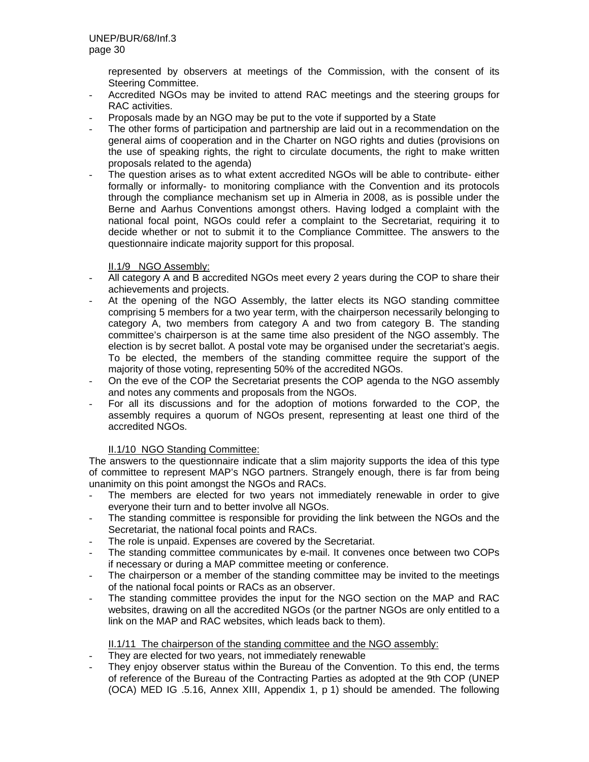represented by observers at meetings of the Commission, with the consent of its Steering Committee.

- Accredited NGOs may be invited to attend RAC meetings and the steering groups for RAC activities.
- Proposals made by an NGO may be put to the vote if supported by a State
- The other forms of participation and partnership are laid out in a recommendation on the general aims of cooperation and in the Charter on NGO rights and duties (provisions on the use of speaking rights, the right to circulate documents, the right to make written proposals related to the agenda)
- The question arises as to what extent accredited NGOs will be able to contribute- either formally or informally- to monitoring compliance with the Convention and its protocols through the compliance mechanism set up in Almeria in 2008, as is possible under the Berne and Aarhus Conventions amongst others. Having lodged a complaint with the national focal point, NGOs could refer a complaint to the Secretariat, requiring it to decide whether or not to submit it to the Compliance Committee. The answers to the questionnaire indicate majority support for this proposal.

# II.1/9 NGO Assembly:

- All category A and B accredited NGOs meet every 2 years during the COP to share their achievements and projects.
- At the opening of the NGO Assembly, the latter elects its NGO standing committee comprising 5 members for a two year term, with the chairperson necessarily belonging to category A, two members from category A and two from category B. The standing committee's chairperson is at the same time also president of the NGO assembly. The election is by secret ballot. A postal vote may be organised under the secretariat's aegis. To be elected, the members of the standing committee require the support of the majority of those voting, representing 50% of the accredited NGOs.
- On the eve of the COP the Secretariat presents the COP agenda to the NGO assembly and notes any comments and proposals from the NGOs.
- For all its discussions and for the adoption of motions forwarded to the COP, the assembly requires a quorum of NGOs present, representing at least one third of the accredited NGOs.

# II.1/10 NGO Standing Committee:

The answers to the questionnaire indicate that a slim majority supports the idea of this type of committee to represent MAP's NGO partners. Strangely enough, there is far from being unanimity on this point amongst the NGOs and RACs.

- The members are elected for two years not immediately renewable in order to give everyone their turn and to better involve all NGOs.
- The standing committee is responsible for providing the link between the NGOs and the Secretariat, the national focal points and RACs.
- The role is unpaid. Expenses are covered by the Secretariat.
- The standing committee communicates by e-mail. It convenes once between two COPs if necessary or during a MAP committee meeting or conference.
- The chairperson or a member of the standing committee may be invited to the meetings of the national focal points or RACs as an observer.
- The standing committee provides the input for the NGO section on the MAP and RAC websites, drawing on all the accredited NGOs (or the partner NGOs are only entitled to a link on the MAP and RAC websites, which leads back to them).

#### II.1/11 The chairperson of the standing committee and the NGO assembly:

- They are elected for two years, not immediately renewable
- They enjoy observer status within the Bureau of the Convention. To this end, the terms of reference of the Bureau of the Contracting Parties as adopted at the 9th COP (UNEP (OCA) MED IG .5.16, Annex XIII, Appendix 1, p 1) should be amended. The following